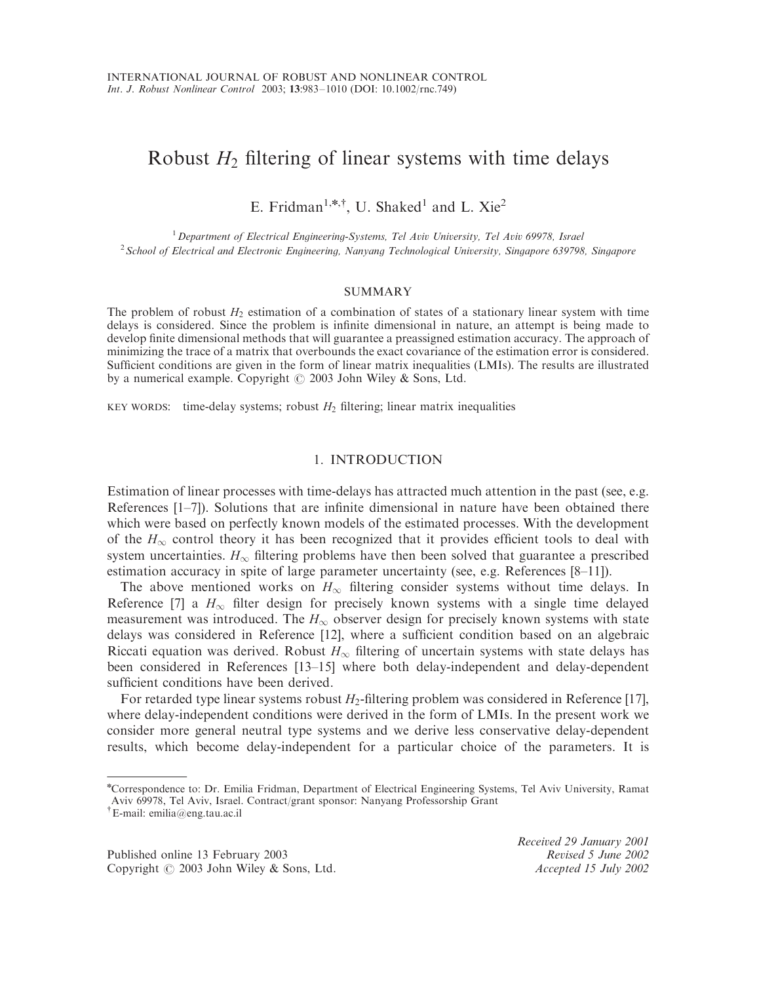# Robust  $H_2$  filtering of linear systems with time delays

E. Fridman<sup>1,\*,†</sup>, U. Shaked<sup>1</sup> and L. Xie<sup>2</sup>

<sup>1</sup>Department of Electrical Engineering-Systems, Tel Aviv University, Tel Aviv 69978, Israel <sup>2</sup> School of Electrical and Electronic Engineering, Nanyang Technological University, Singapore 639798, Singapore

#### SUMMARY

The problem of robust *H*<sup>2</sup> estimation of a combination of states of a stationary linear system with time delays is considered. Since the problem is infinite dimensional in nature, an attempt is being made to develop finite dimensional methods that will guarantee a preassigned estimation accuracy. The approach of minimizing the trace of a matrix that overbounds the exact covariance of the estimation error is considered. Sufficient conditions are given in the form of linear matrix inequalities (LMIs). The results are illustrated by a numerical example. Copyright  $\odot$  2003 John Wiley & Sons, Ltd.

KEY WORDS: time-delay systems; robust  $H_2$  filtering; linear matrix inequalities

## 1. INTRODUCTION

Estimation of linear processes with time-delays has attracted much attention in the past (see, e.g. References [1–7]). Solutions that are infinite dimensional in nature have been obtained there which were based on perfectly known models of the estimated processes. With the development of the  $H_{\infty}$  control theory it has been recognized that it provides efficient tools to deal with system uncertainties.  $H_{\infty}$  filtering problems have then been solved that guarantee a prescribed estimation accuracy in spite of large parameter uncertainty (see, e.g. References [8–11]).

The above mentioned works on  $H_{\infty}$  filtering consider systems without time delays. In Reference [7] a  $H_{\infty}$  filter design for precisely known systems with a single time delayed measurement was introduced. The  $H_{\infty}$  observer design for precisely known systems with state delays was considered in Reference [12], where a sufficient condition based on an algebraic Riccati equation was derived. Robust  $H_{\infty}$  filtering of uncertain systems with state delays has been considered in References [13–15] where both delay-independent and delay-dependent sufficient conditions have been derived.

For retarded type linear systems robust  $H_2$ -filtering problem was considered in Reference [17], where delay-independent conditions were derived in the form of LMIs. In the present work we consider more general neutral type systems and we derive less conservative delay-dependent results, which become delay-independent for a particular choice of the parameters. It is

Published online 13 February 2003 Revised 5 June 2002 Copyright  $\odot$  2003 John Wiley & Sons, Ltd. Accepted 15 July 2002

Received 29 January 2001

n Correspondence to: Dr. Emilia Fridman, Department of Electrical Engineering Systems, Tel Aviv University, Ramat Aviv 69978, Tel Aviv, Israel. Contract/grant sponsor: Nanyang Professorship Grant

y E-mail: emilia@eng.tau.ac.il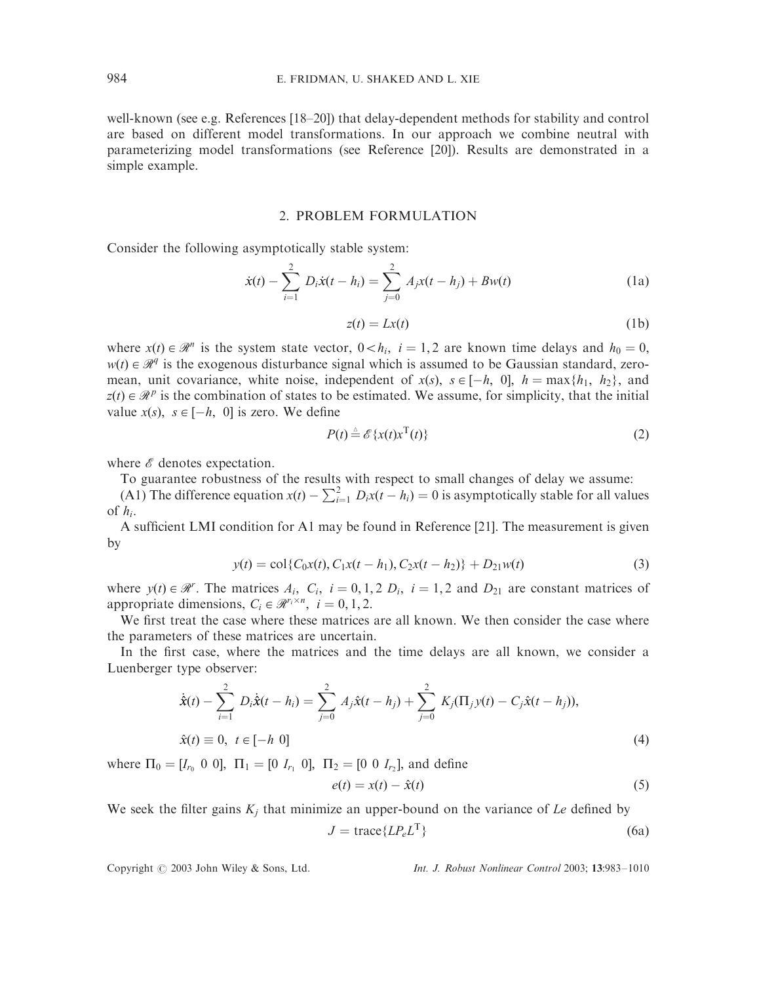well-known (see e.g. References [18–20]) that delay-dependent methods for stability and control are based on different model transformations. In our approach we combine neutral with parameterizing model transformations (see Reference [20]). Results are demonstrated in a simple example.

## 2. PROBLEM FORMULATION

Consider the following asymptotically stable system:

$$
\dot{x}(t) - \sum_{i=1}^{2} D_i \dot{x}(t - h_i) = \sum_{j=0}^{2} A_j x(t - h_j) + Bw(t)
$$
 (1a)

$$
z(t) = Lx(t) \tag{1b}
$$

where  $x(t) \in \mathcal{R}^n$  is the system state vector,  $0 < h_i$ ,  $i = 1, 2$  are known time delays and  $h_0 = 0$ ,  $w(t) \in \mathcal{R}^q$  is the exogenous disturbance signal which is assumed to be Gaussian standard, zeromean, unit covariance, white noise, independent of  $x(s)$ ,  $s \in [-h, 0]$ ,  $h = \max\{h_1, h_2\}$ , and  $z(t) \in \mathcal{R}^p$  is the combination of states to be estimated. We assume, for simplicity, that the initial value  $x(s)$ ,  $s \in [-h, 0]$  is zero. We define

$$
P(t) \stackrel{\scriptscriptstyle \Delta}{=} \mathscr{E}\{x(t)x^{\mathrm{T}}(t)\}\tag{2}
$$

where  $\mathscr E$  denotes expectation.

To guarantee robustness of the results with respect to small changes of delay we assume:

(A1) The difference equation  $x(t) - \sum_{i=1}^{2} D_i x(t - h_i) = 0$  is asymptotically stable for all values of *hi*:

A sufficient LMI condition for A1 may be found in Reference [21]. The measurement is given by

$$
y(t) = \text{col}\{C_0x(t), C_1x(t - h_1), C_2x(t - h_2)\} + D_{21}w(t)
$$
\n(3)

where  $y(t) \in \mathcal{R}^r$ . The matrices  $A_i$ ,  $C_i$ ,  $i = 0, 1, 2$   $D_i$ ,  $i = 1, 2$  and  $D_{21}$  are constant matrices of appropriate dimensions,  $C_i \in \mathcal{R}^{r_i \times n}$ ,  $i = 0, 1, 2$ .

We first treat the case where these matrices are all known. We then consider the case where the parameters of these matrices are uncertain.

In the first case, where the matrices and the time delays are all known, we consider a Luenberger type observer:

$$
\dot{\hat{\mathbf{x}}}(t) - \sum_{i=1}^{2} D_i \dot{\hat{\mathbf{x}}}(t - h_i) = \sum_{j=0}^{2} A_j \hat{\mathbf{x}}(t - h_j) + \sum_{j=0}^{2} K_j (\Pi_j y(t) - C_j \hat{\mathbf{x}}(t - h_j)),
$$
  
\n
$$
\hat{\mathbf{x}}(t) \equiv 0, \ t \in [-h \ 0]
$$
\n(4)

where  $\Pi_0 = [I_{r_0} \ 0 \ 0], \ \Pi_1 = [0 \ I_{r_1} \ 0], \ \Pi_2 = [0 \ 0 \ I_{r_2}],$  and define

$$
e(t) = x(t) - \hat{x}(t) \tag{5}
$$

We seek the filter gains  $K_i$  that minimize an upper-bound on the variance of *Le* defined by

$$
J = \text{trace}\{LP_e L^{\text{T}}\}\tag{6a}
$$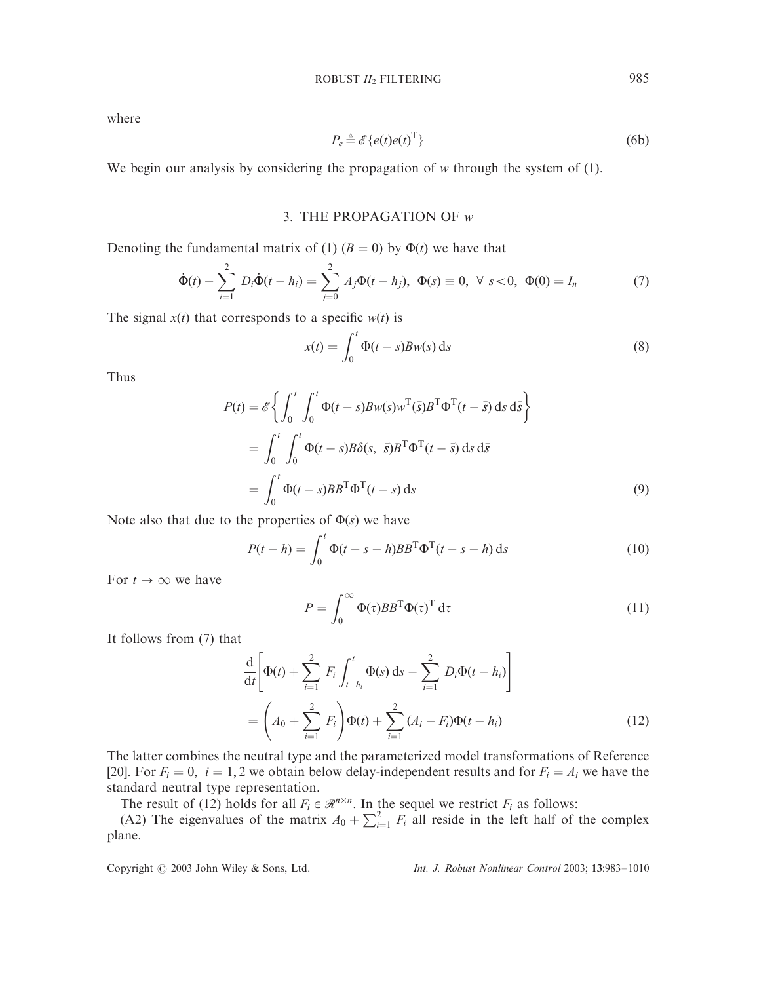$$
P_e \stackrel{\scriptscriptstyle \triangle}{=} \mathscr{E}\{e(t)e(t)^{\mathrm{T}}\}\tag{6b}
$$

We begin our analysis by considering the propagation of *w* through the system of (1).

# 3. THE PROPAGATION OF *w*

Denoting the fundamental matrix of (1)  $(B = 0)$  by  $\Phi(t)$  we have that

$$
\dot{\Phi}(t) - \sum_{i=1}^{2} D_i \dot{\Phi}(t - h_i) = \sum_{j=0}^{2} A_j \Phi(t - h_j), \ \Phi(s) \equiv 0, \ \forall \ s < 0, \ \Phi(0) = I_n
$$
 (7)

The signal  $x(t)$  that corresponds to a specific  $w(t)$  is

$$
x(t) = \int_0^t \Phi(t - s) B w(s) \, \mathrm{d}s \tag{8}
$$

Thus

$$
P(t) = \mathscr{E}\left\{\int_0^t \int_0^t \Phi(t-s)Bw(s)w^{\mathrm{T}}(\bar{s})B^{\mathrm{T}}\Phi^{\mathrm{T}}(t-\bar{s}) \,ds\,d\bar{s}\right\}
$$
  
= 
$$
\int_0^t \int_0^t \Phi(t-s)B\delta(s, \bar{s})B^{\mathrm{T}}\Phi^{\mathrm{T}}(t-\bar{s}) \,ds\,d\bar{s}
$$
  
= 
$$
\int_0^t \Phi(t-s)BB^{\mathrm{T}}\Phi^{\mathrm{T}}(t-s)\,ds
$$
 (9)

Note also that due to the properties of  $\Phi(s)$  we have

$$
P(t-h) = \int_0^t \Phi(t-s-h)BB^{\mathrm{T}}\Phi^{\mathrm{T}}(t-s-h) \,\mathrm{d}s \tag{10}
$$

For  $t \to \infty$  we have

$$
P = \int_0^\infty \Phi(\tau) B B^{\mathrm{T}} \Phi(\tau)^{\mathrm{T}} d\tau \tag{11}
$$

It follows from (7) that

$$
\frac{d}{dt} \left[ \Phi(t) + \sum_{i=1}^{2} F_i \int_{t-h_i}^{t} \Phi(s) ds - \sum_{i=1}^{2} D_i \Phi(t-h_i) \right]
$$
\n
$$
= \left( A_0 + \sum_{i=1}^{2} F_i \right) \Phi(t) + \sum_{i=1}^{2} (A_i - F_i) \Phi(t-h_i)
$$
\n(12)

The latter combines the neutral type and the parameterized model transformations of Reference [20]. For  $F_i = 0$ ,  $i = 1, 2$  we obtain below delay-independent results and for  $F_i = A_i$  we have the standard neutral type representation.

The result of (12) holds for all  $F_i \in \mathcal{R}^{n \times n}$ . In the sequel we restrict  $F_i$  as follows:

(A2) The eigenvalues of the matrix  $A_0 + \sum_{i=1}^{\infty} F_i$  all reside in the left half of the complex plane.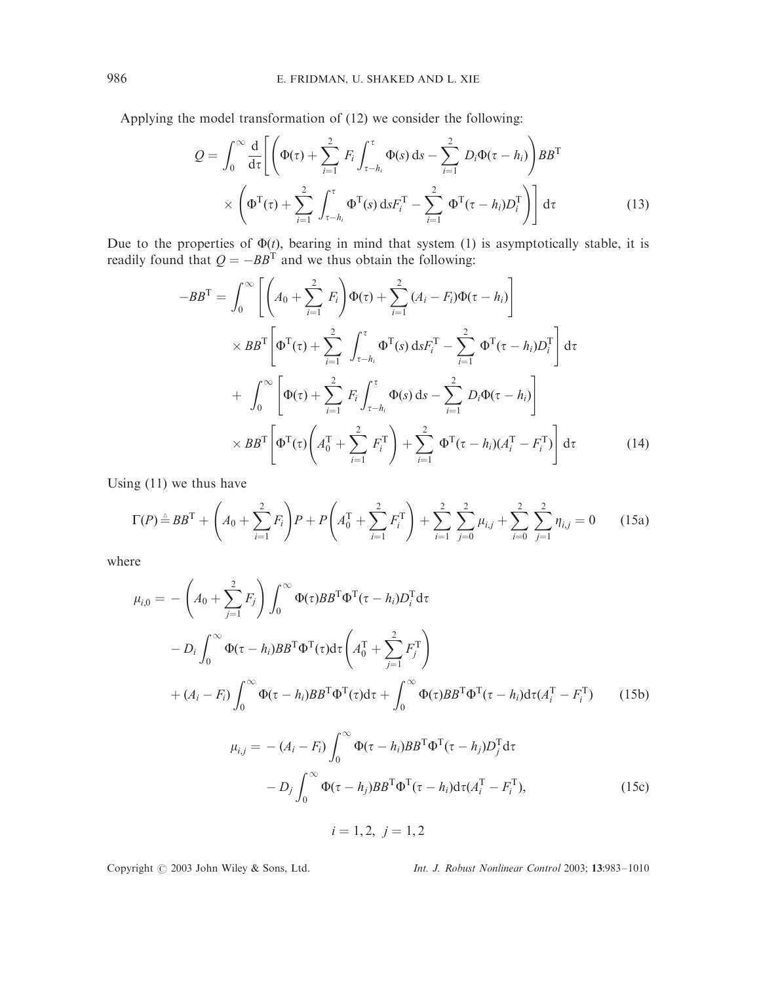Applying the model transformation of (12) we consider the following:

$$
Q = \int_0^\infty \frac{d}{d\tau} \Biggl[ \Biggl( \Phi(\tau) + \sum_{i=1}^2 F_i \int_{\tau - h_i}^\tau \Phi(s) ds - \sum_{i=1}^2 D_i \Phi(\tau - h_i) \Biggr) BB^{\mathrm{T}} \times \Biggl( \Phi^{\mathrm{T}}(\tau) + \sum_{i=1}^2 \int_{\tau - h_i}^\tau \Phi^{\mathrm{T}}(s) ds F_i^{\mathrm{T}} - \sum_{i=1}^2 \Phi^{\mathrm{T}}(\tau - h_i) D_i^{\mathrm{T}} \Biggr) \Biggr] d\tau
$$
\n(13)

Due to the properties of  $\Phi(t)$ , bearing in mind that system (1) is asymptotically stable, it is readily found that  $Q = -BB^T$  and we thus obtain the following:

$$
-BB^{T} = \int_{0}^{\infty} \left[ \left( A_{0} + \sum_{i=1}^{2} F_{i} \right) \Phi(\tau) + \sum_{i=1}^{2} (A_{i} - F_{i}) \Phi(\tau - h_{i}) \right] \times BB^{T} \left[ \Phi^{T}(\tau) + \sum_{i=1}^{2} \int_{\tau - h_{i}}^{\tau} \Phi^{T}(s) ds F_{i}^{T} - \sum_{i=1}^{2} \Phi^{T}(\tau - h_{i}) D_{i}^{T} \right] d\tau
$$

$$
+ \int_{0}^{\infty} \left[ \Phi(\tau) + \sum_{i=1}^{2} F_{i} \int_{\tau - h_{i}}^{\tau} \Phi(s) ds - \sum_{i=1}^{2} D_{i} \Phi(\tau - h_{i}) \right]
$$

$$
\times BB^{T} \left[ \Phi^{T}(\tau) \left( A_{0}^{T} + \sum_{i=1}^{2} F_{i}^{T} \right) + \sum_{i=1}^{2} \Phi^{T}(\tau - h_{i}) (A_{i}^{T} - F_{i}^{T}) \right] d\tau \tag{14}
$$

Using (11) we thus have

$$
\Gamma(P) \stackrel{\triangle}{=} BB^{\mathrm{T}} + \left(A_0 + \sum_{i=1}^2 F_i\right) P + P\left(A_0^{\mathrm{T}} + \sum_{i=1}^2 F_i^{\mathrm{T}}\right) + \sum_{i=1}^2 \sum_{j=0}^2 \mu_{i,j} + \sum_{i=0}^2 \sum_{j=1}^2 \eta_{i,j} = 0 \qquad (15a)
$$

where

$$
\mu_{i,0} = -\left(A_0 + \sum_{j=1}^2 F_j\right) \int_0^\infty \Phi(\tau) BB^{\mathrm{T}} \Phi^{\mathrm{T}}(\tau - h_i) D_i^{\mathrm{T}} d\tau \n- D_i \int_0^\infty \Phi(\tau - h_i) BB^{\mathrm{T}} \Phi^{\mathrm{T}}(\tau) d\tau \left(A_0^{\mathrm{T}} + \sum_{j=1}^2 F_j^{\mathrm{T}}\right) \n+ (A_i - F_i) \int_0^\infty \Phi(\tau - h_i) BB^{\mathrm{T}} \Phi^{\mathrm{T}}(\tau) d\tau + \int_0^\infty \Phi(\tau) BB^{\mathrm{T}} \Phi^{\mathrm{T}}(\tau - h_i) d\tau (A_i^{\mathrm{T}} - F_i^{\mathrm{T}})
$$
\n(15b)

$$
\mu_{i,j} = -(A_i - F_i) \int_0^\infty \Phi(\tau - h_i) BB^{\mathrm{T}} \Phi^{\mathrm{T}}(\tau - h_j) D_j^{\mathrm{T}} d\tau \n- D_j \int_0^\infty \Phi(\tau - h_j) BB^{\mathrm{T}} \Phi^{\mathrm{T}}(\tau - h_i) d\tau (A_i^{\mathrm{T}} - F_i^{\mathrm{T}}),
$$
\n(15c)

 $i = 1, 2, j = 1, 2$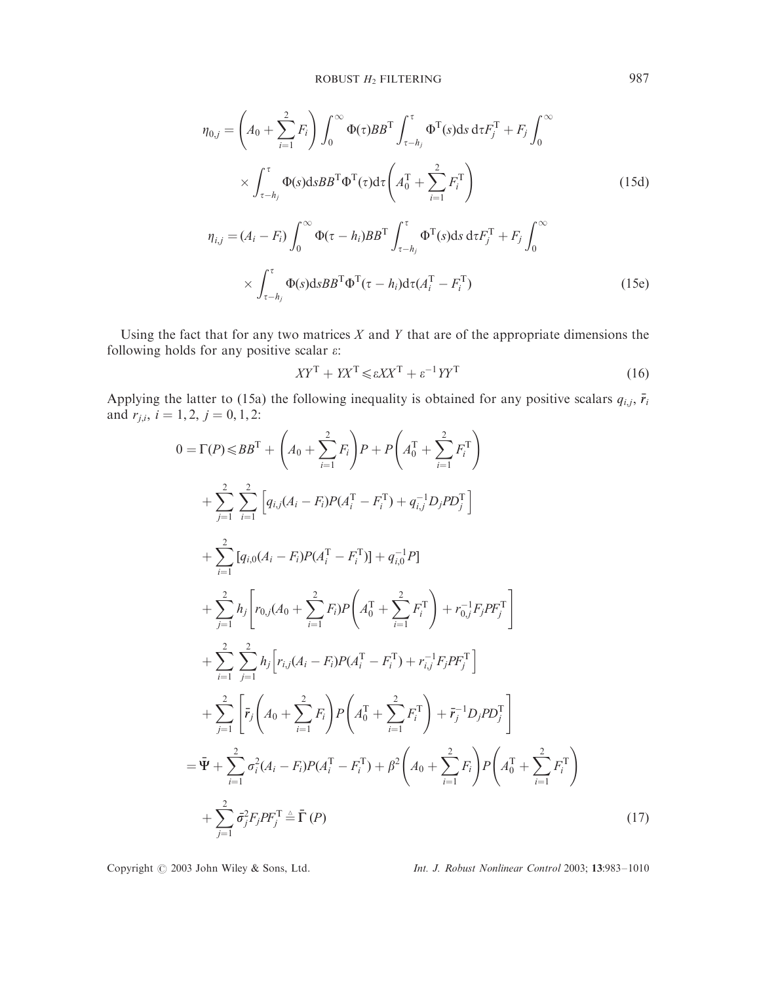$$
\eta_{0,j} = \left(A_0 + \sum_{i=1}^2 F_i\right) \int_0^\infty \Phi(\tau) BB^{\mathsf{T}} \int_{\tau-h_j}^\tau \Phi^{\mathsf{T}}(s) ds \, d\tau F_j^{\mathsf{T}} + F_j \int_0^\infty
$$
\n
$$
\times \int_{\tau-h_j}^\tau \Phi(s) ds BB^{\mathsf{T}} \Phi^{\mathsf{T}}(\tau) d\tau \left(A_0^{\mathsf{T}} + \sum_{i=1}^2 F_i^{\mathsf{T}}\right)
$$
\n
$$
\eta_{i,j} = (A_i - F_i) \int_0^\infty \Phi(\tau - h_i) BB^{\mathsf{T}} \int_{\tau-h_j}^\tau \Phi^{\mathsf{T}}(s) ds \, d\tau F_j^{\mathsf{T}} + F_j \int_0^\infty
$$
\n
$$
\times \int_{\tau-h_j}^\tau \Phi(s) ds BB^{\mathsf{T}} \Phi^{\mathsf{T}}(\tau - h_i) d\tau (A_i^{\mathsf{T}} - F_i^{\mathsf{T}})
$$
\n(15e)

Using the fact that for any two matrices *X* and *Y* that are of the appropriate dimensions the following holds for any positive scalar  $\varepsilon$ :

$$
XY^{\mathrm{T}} + YX^{\mathrm{T}} \le \varepsilon X X^{\mathrm{T}} + \varepsilon^{-1} Y Y^{\mathrm{T}} \tag{16}
$$

Applying the latter to (15a) the following inequality is obtained for any positive scalars  $q_{i,j}$ ,  $\bar{r}_i$ and  $r_{j,i}$ ,  $i = 1, 2$ ,  $j = 0, 1, 2$ :

$$
0 = \Gamma(P) \le BB^{\mathsf{T}} + \left(A_0 + \sum_{i=1}^{2} F_i\right) P + P\left(A_0^{\mathsf{T}} + \sum_{i=1}^{2} F_i^{\mathsf{T}}\right)
$$
  
+ 
$$
\sum_{j=1}^{2} \sum_{i=1}^{2} \left[q_{i,j}(A_i - F_i)P(A_i^{\mathsf{T}} - F_i^{\mathsf{T}}) + q_{i,j}^{-1}D_jPD_j^{\mathsf{T}}\right]
$$
  
+ 
$$
\sum_{i=1}^{2} \left[q_{i,0}(A_i - F_i)P(A_i^{\mathsf{T}} - F_i^{\mathsf{T}})\right] + q_{i,0}^{-1}P\right]
$$
  
+ 
$$
\sum_{j=1}^{2} h_j \left[r_{0,j}(A_0 + \sum_{i=1}^{2} F_i)P\left(A_0^{\mathsf{T}} + \sum_{i=1}^{2} F_i^{\mathsf{T}}\right) + r_{0,j}^{-1}F_jPP_j^{\mathsf{T}}\right]
$$
  
+ 
$$
\sum_{i=1}^{2} \sum_{j=1}^{2} h_j \left[r_{i,j}(A_i - F_i)P(A_i^{\mathsf{T}} - F_i^{\mathsf{T}}) + r_{i,j}^{-1}F_jPP_j^{\mathsf{T}}\right]
$$
  
+ 
$$
\sum_{j=1}^{2} \left[\bar{r}_j\left(A_0 + \sum_{i=1}^{2} F_i\right)P\left(A_0^{\mathsf{T}} + \sum_{i=1}^{2} F_i^{\mathsf{T}}\right) + \bar{r}_j^{-1}D_jPD_j^{\mathsf{T}}\right]
$$
  
= 
$$
\bar{\Psi} + \sum_{i=1}^{2} \sigma_i^2(A_i - F_i)P(A_i^{\mathsf{T}} - F_i^{\mathsf{T}}) + \beta^2\left(A_0 + \sum_{i=1}^{2} F_i\right)P\left(A_0^{\mathsf{T}} + \sum_{i=1}^{2} F_i^{\mathsf{T}}\right)
$$
  
+ 
$$
\sum_{j=1}^{2} \bar{\sigma}_j^2 F_jPP_j^{\mathsf{T}} \triangleq \bar{\Gamma}(P)
$$
(17)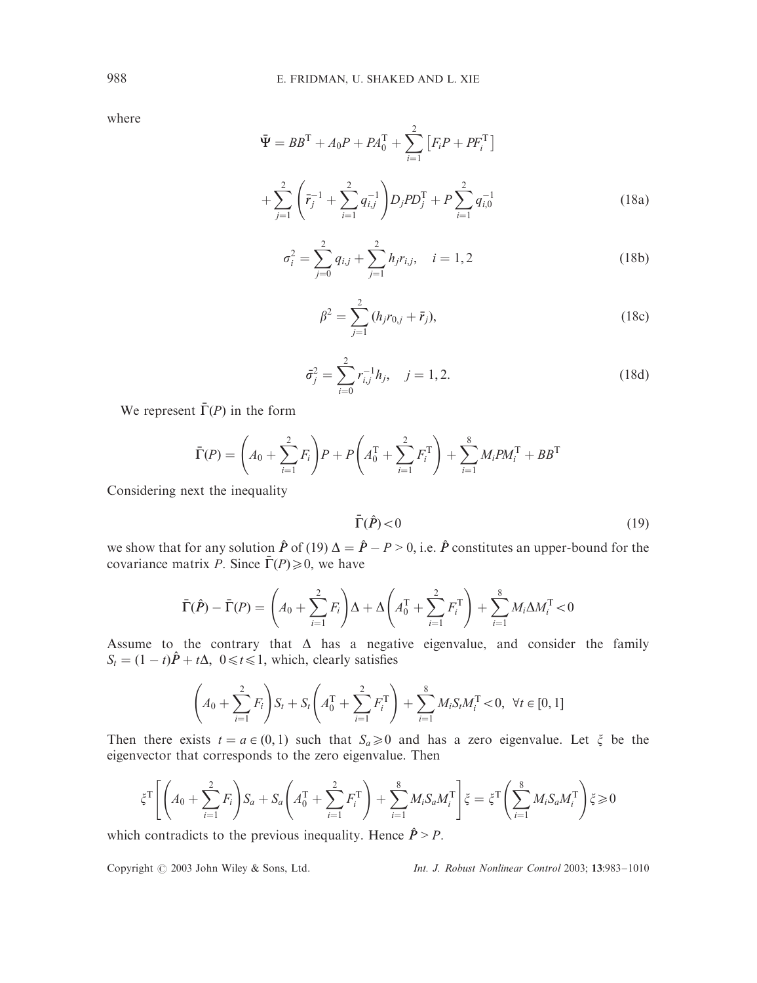$$
\begin{aligned}\n\bar{\Psi} &= BB^{\mathrm{T}} + A_0 P + PA_0^{\mathrm{T}} + \sum_{i=1}^{2} \left[ F_i P + PF_i^{\mathrm{T}} \right] \\
&+ \sum_{j=1}^{2} \left( \bar{r}_j^{-1} + \sum_{i=1}^{2} q_{i,j}^{-1} \right) D_j P D_j^{\mathrm{T}} + P \sum_{i=1}^{2} q_{i,0}^{-1}\n\end{aligned} \tag{18a}
$$

$$
\sigma_i^2 = \sum_{j=0}^2 q_{i,j} + \sum_{j=1}^2 h_j r_{i,j}, \quad i = 1, 2
$$
 (18b)

$$
\beta^2 = \sum_{j=1}^2 (h_j r_{0,j} + \bar{r}_j),
$$
\n(18c)

$$
\bar{\sigma}_j^2 = \sum_{i=0}^2 r_{i,j}^{-1} h_j, \quad j = 1, 2.
$$
 (18d)

We represent  $\bar{\Gamma}(P)$  in the form

$$
\bar{\Gamma}(P) = \left(A_0 + \sum_{i=1}^{2} F_i\right) P + P\left(A_0^{\mathrm{T}} + \sum_{i=1}^{2} F_i^{\mathrm{T}}\right) + \sum_{i=1}^{8} M_i P M_i^{\mathrm{T}} + B B^{\mathrm{T}}
$$

Considering next the inequality

$$
\bar{\Gamma}(\hat{P}) < 0 \tag{19}
$$

we show that for any solution  $\hat{P}$  of (19)  $\Delta = \hat{P} - P > 0$ , i.e.  $\hat{P}$  constitutes an upper-bound for the covariance matrix *P*. Since  $\bar{\Gamma}(P) \ge 0$ , we have

$$
\bar{\Gamma}(\hat{P}) - \bar{\Gamma}(P) = \left(A_0 + \sum_{i=1}^2 F_i\right)\Delta + \Delta\left(A_0^{\mathrm{T}} + \sum_{i=1}^2 F_i^{\mathrm{T}}\right) + \sum_{i=1}^8 M_i \Delta M_i^{\mathrm{T}} < 0
$$

Assume to the contrary that  $\Delta$  has a negative eigenvalue, and consider the family  $S_t = (1 - t)\hat{P} + t\Delta$ ,  $0 \le t \le 1$ , which, clearly satisfies

$$
\left(A_0 + \sum_{i=1}^2 F_i\right) S_t + S_t \left(A_0^{\mathrm{T}} + \sum_{i=1}^2 F_i^{\mathrm{T}}\right) + \sum_{i=1}^8 M_i S_t M_i^{\mathrm{T}} < 0, \ \forall t \in [0, 1]
$$

Then there exists  $t = a \in (0, 1)$  such that  $S_a \ge 0$  and has a zero eigenvalue. Let  $\zeta$  be the eigenvector that corresponds to the zero eigenvalue. Then

$$
\xi^{\mathsf{T}}\left[\left(A_0+\sum_{i=1}^2 F_i\right)S_a + S_a\left(A_0^{\mathsf{T}} + \sum_{i=1}^2 F_i^{\mathsf{T}}\right) + \sum_{i=1}^8 M_i S_a M_i^{\mathsf{T}}\right] \xi = \xi^{\mathsf{T}}\left(\sum_{i=1}^8 M_i S_a M_i^{\mathsf{T}}\right) \xi \geq 0
$$

which contradicts to the previous inequality. Hence  $\hat{P} > P$ .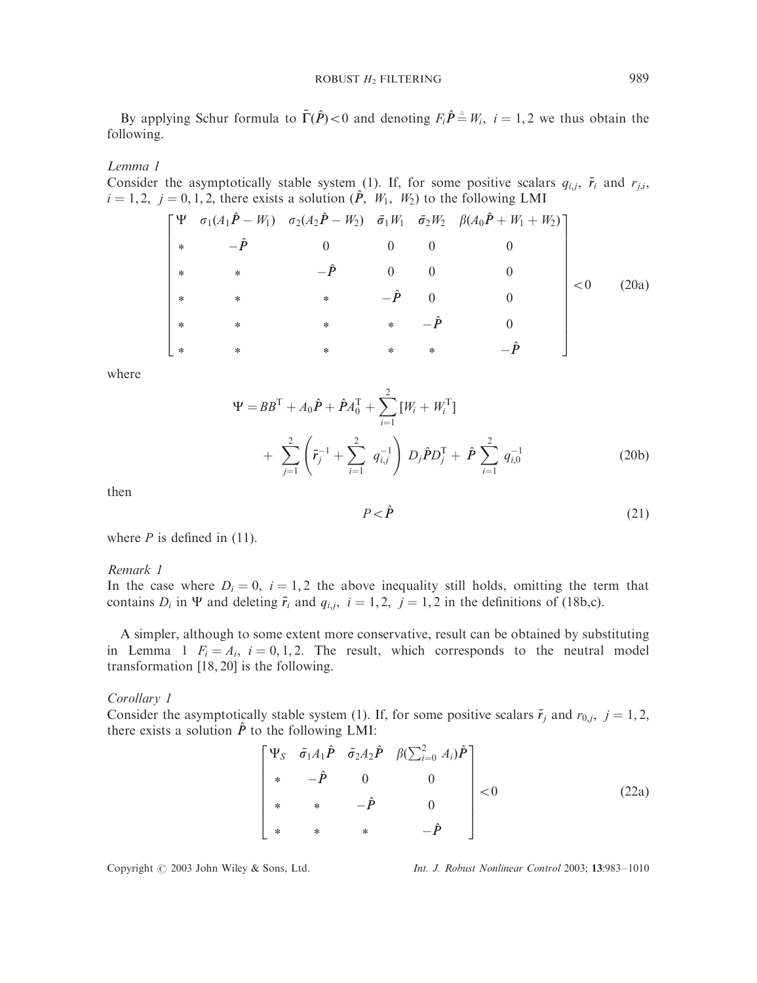By applying Schur formula to  $\bar{\Gamma}(\hat{P}) < 0$  and denoting  $F_i \hat{P} \triangleq W_i$ ,  $i = 1, 2$  we thus obtain the following.

## Lemma 1

Consider the asymptotically stable system (1). If, for some positive scalars  $q_{i,j}$ ,  $\bar{r}_i$  and  $r_{j,i}$ ,  $i = 1, 2, j = 0, 1, 2$ , there exists a solution  $(\hat{P}, W_1, W_2)$  to the following LMI

$$
\begin{bmatrix}\n\Psi & \sigma_1(A_1\hat{P} - W_1) & \sigma_2(A_2\hat{P} - W_2) & \bar{\sigma}_1 W_1 & \bar{\sigma}_2 W_2 & \beta(A_0\hat{P} + W_1 + W_2) \\
* & -\hat{P} & 0 & 0 & 0 \\
* & * & -\hat{P} & 0 & 0 & 0 \\
* & * & * & -\hat{P} & 0 & 0 \\
* & * & * & * & -\hat{P} & 0 \\
* & * & * & * & * & -\hat{P}\n\end{bmatrix} < 0 \quad (20a)
$$

where

$$
\Psi = BB^{T} + A_{0}\hat{P} + \hat{P}A_{0}^{T} + \sum_{i=1}^{2} [W_{i} + W_{i}^{T}]
$$
  
+ 
$$
\sum_{j=1}^{2} \left(\bar{r}_{j}^{-1} + \sum_{i=1}^{2} q_{i,j}^{-1}\right) D_{j}\hat{P}D_{j}^{T} + \hat{P}\sum_{i=1}^{2} q_{i,0}^{-1}
$$
(20b)

then

$$
P < \hat{P}
$$
 (21)

where  $P$  is defined in (11).

#### Remark 1

In the case where  $D_i = 0$ ,  $i = 1, 2$  the above inequality still holds, omitting the term that contains  $D_i$  in  $\Psi$  and deleting  $\bar{r}_i$  and  $q_{i,j}$ ,  $i = 1, 2$ ,  $j = 1, 2$  in the definitions of (18b,c).

A simpler, although to some extent more conservative, result can be obtained by substituting in Lemma 1  $F_i = A_i$ ,  $i = 0, 1, 2$ . The result, which corresponds to the neutral model transformation [18, 20] is the following.

Corollary 1

Consider the asymptotically stable system (1). If, for some positive scalars  $\bar{r}_j$  and  $r_{0,j}$ ,  $j = 1, 2$ , there exists a solution  $\hat{P}$  to the following LMI:

$$
\begin{bmatrix}\n\Psi_{S} & \bar{\sigma}_{1}A_{1}\hat{P} & \bar{\sigma}_{2}A_{2}\hat{P} & \beta(\sum_{i=0}^{2} A_{i})\hat{P} \\
* & -\hat{P} & 0 & 0 \\
* & * & -\hat{P} & 0 \\
* & * & * & -\hat{P}\n\end{bmatrix} < 0
$$
\n(22a)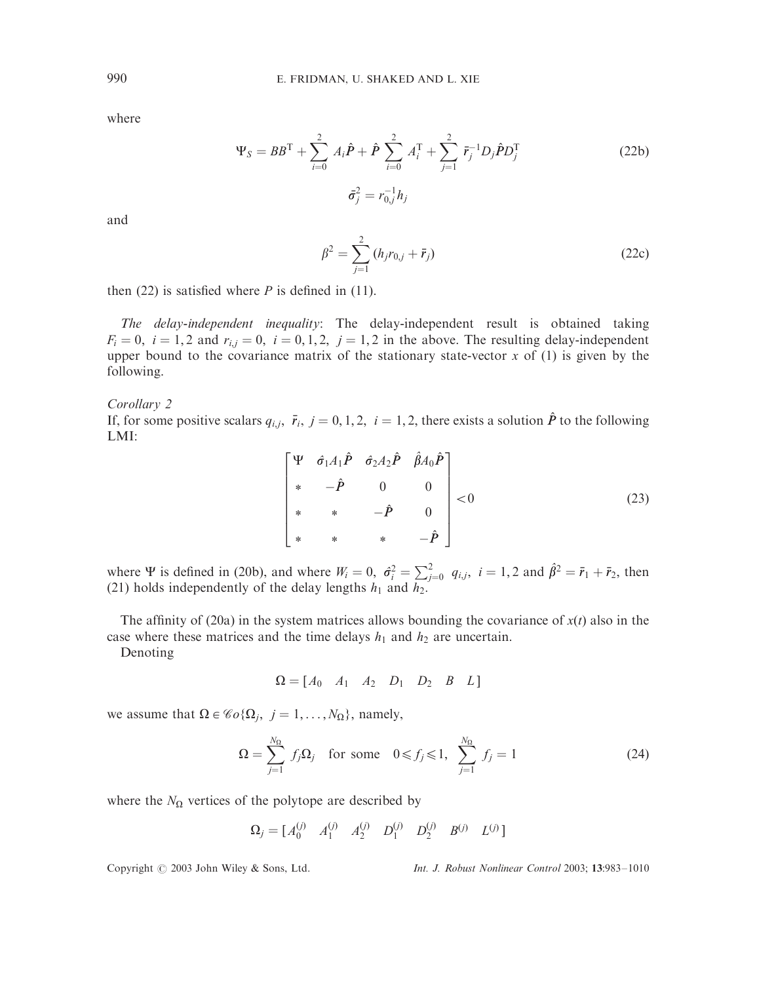$$
\Psi_S = BB^{\mathrm{T}} + \sum_{i=0}^{2} A_i \hat{P} + \hat{P} \sum_{i=0}^{2} A_i^{\mathrm{T}} + \sum_{j=1}^{2} \bar{r}_j^{-1} D_j \hat{P} D_j^{\mathrm{T}}
$$
\n
$$
\bar{\sigma}_j^2 = r_{0,j}^{-1} h_j
$$
\n(22b)

and

$$
\beta^2 = \sum_{j=1}^2 (h_j r_{0,j} + \bar{r}_j)
$$
 (22c)

then  $(22)$  is satisfied where *P* is defined in  $(11)$ .

The delay-independent inequality: The delay-independent result is obtained taking  $F_i = 0$ ,  $i = 1, 2$  and  $r_{i,j} = 0$ ,  $i = 0, 1, 2$ ,  $j = 1, 2$  in the above. The resulting delay-independent upper bound to the covariance matrix of the stationary state-vector  $x$  of (1) is given by the following.

#### Corollary 2

If, for some positive scalars  $q_{i,j}$ ,  $\bar{r}_i$ ,  $j = 0, 1, 2$ ,  $i = 1, 2$ , there exists a solution  $\hat{P}$  to the following LMI:

$$
\begin{bmatrix}\n\Psi & \hat{\sigma}_1 A_1 \hat{P} & \hat{\sigma}_2 A_2 \hat{P} & \hat{\beta} A_0 \hat{P} \\
* & -\hat{P} & 0 & 0 \\
* & * & -\hat{P} & 0 \\
* & * & * & -\hat{P}\n\end{bmatrix} < 0
$$
\n(23)

where  $\Psi$  is defined in (20b), and where  $W_i = 0$ ,  $\hat{\sigma}_i^2 = \sum_{j=0}^2 q_{i,j}$ ,  $i = 1, 2$  and  $\hat{\beta}^2 = \bar{r}_1 + \bar{r}_2$ , then (21) holds independently of the delay lengths  $h_1$  and  $h_2$ .

The affinity of (20a) in the system matrices allows bounding the covariance of  $x(t)$  also in the case where these matrices and the time delays  $h_1$  and  $h_2$  are uncertain.

Denoting

$$
\Omega = \begin{bmatrix} A_0 & A_1 & A_2 & D_1 & D_2 & B & L \end{bmatrix}
$$

we assume that  $\Omega \in \mathcal{C}_0(\Omega_i, j = 1, \ldots, N_\Omega)$ , namely,

$$
\Omega = \sum_{j=1}^{N_{\Omega}} f_j \Omega_j \quad \text{for some} \quad 0 \leqslant f_j \leqslant 1, \quad \sum_{j=1}^{N_{\Omega}} f_j = 1 \tag{24}
$$

where the  $N_{\Omega}$  vertices of the polytope are described by

$$
\Omega_j = [A_0^{(j)} \quad A_1^{(j)} \quad A_2^{(j)} \quad D_1^{(j)} \quad D_2^{(j)} \quad B^{(j)} \quad L^{(j)}]
$$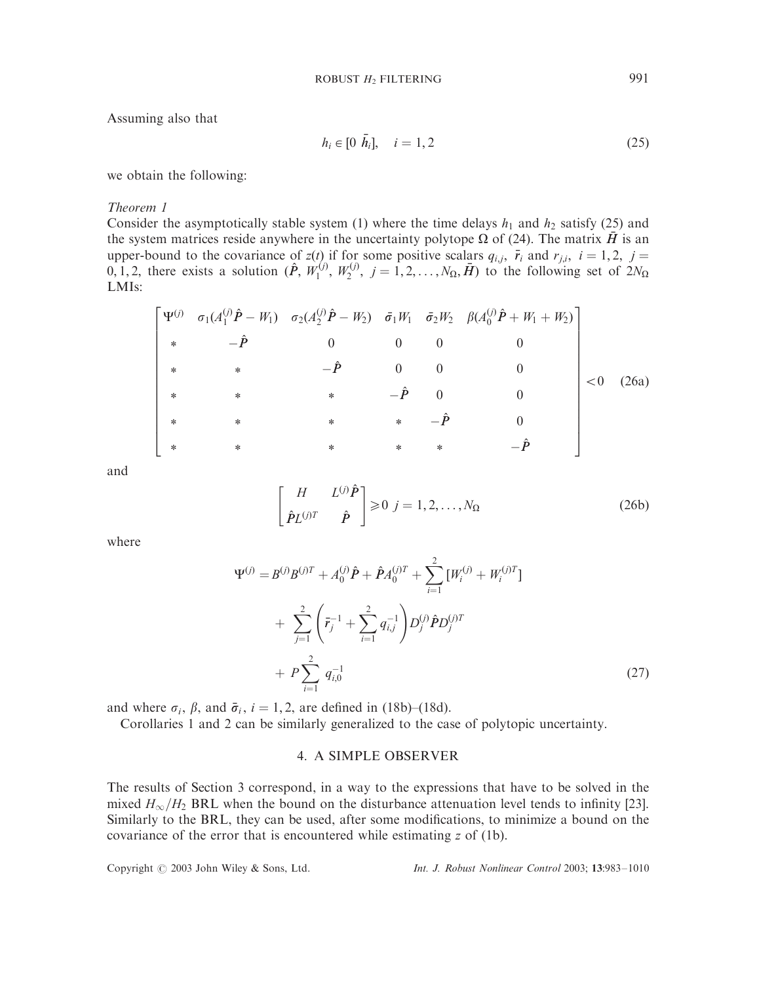Assuming also that

$$
h_i \in [0 \ \bar{h}_i], \quad i = 1, 2 \tag{25}
$$

we obtain the following:

Theorem 1

Consider the asymptotically stable system (1) where the time delays  $h_1$  and  $h_2$  satisfy (25) and the system matrices reside anywhere in the uncertainty polytope  $\Omega$  of (24). The matrix H is an upper-bound to the covariance of  $z(t)$  if for some positive scalars  $q_{i,j}$ ,  $\bar{r}_i$  and  $r_{j,i}$ ,  $i = 1, 2$ ,  $j =$  $(0, 1, 2)$ , there exists a solution  $(\hat{P}, W_1^{(j)}, W_2^{(j)}, j = 1, 2, \ldots, N_{\Omega}, \bar{H})$  to the following set of  $2N_{\Omega}$ LMIs:

$$
\begin{bmatrix}\n\Psi^{(j)} & \sigma_1(A_1^{(j)}\hat{P} - W_1) & \sigma_2(A_2^{(j)}\hat{P} - W_2) & \bar{\sigma}_1 W_1 & \bar{\sigma}_2 W_2 & \beta(A_0^{(j)}\hat{P} + W_1 + W_2) \\
* & -\hat{P} & 0 & 0 & 0 \\
* & * & -\hat{P} & 0 & 0 & 0 \\
* & * & * & -\hat{P} & 0 & 0 \\
* & * & * & * & -\hat{P} & 0 \\
* & * & * & * & * & -\hat{P} & 0 \\
* & * & * & * & * & -\hat{P}\n\end{bmatrix}
$$
\n
$$
(26a)
$$

and

$$
\begin{bmatrix} H & L^{(j)}\hat{P} \\ \hat{P}L^{(j)T} & \hat{P} \end{bmatrix} \ge 0 \quad j = 1, 2, ..., N_{\Omega}
$$
 (26b)

where

$$
\Psi^{(j)} = B^{(j)}B^{(j)T} + A_0^{(j)}\hat{P} + \hat{P}A_0^{(j)T} + \sum_{i=1}^2 [W_i^{(j)} + W_i^{(j)T}] + \sum_{j=1}^2 \left(\bar{r}_j^{-1} + \sum_{i=1}^2 q_{i,j}^{-1}\right) D_j^{(j)}\hat{P}D_j^{(j)T} + P \sum_{i=1}^2 q_{i,0}^{-1}
$$
(27)

and where  $\sigma_i$ ,  $\beta$ , and  $\bar{\sigma}_i$ ,  $i = 1, 2$ , are defined in (18b)–(18d).

Corollaries 1 and 2 can be similarly generalized to the case of polytopic uncertainty.

## 4. A SIMPLE OBSERVER

The results of Section 3 correspond, in a way to the expressions that have to be solved in the mixed  $H_{\infty}/H_2$  BRL when the bound on the disturbance attenuation level tends to infinity [23]. Similarly to the BRL, they can be used, after some modifications, to minimize a bound on the covariance of the error that is encountered while estimating *z* of (1b).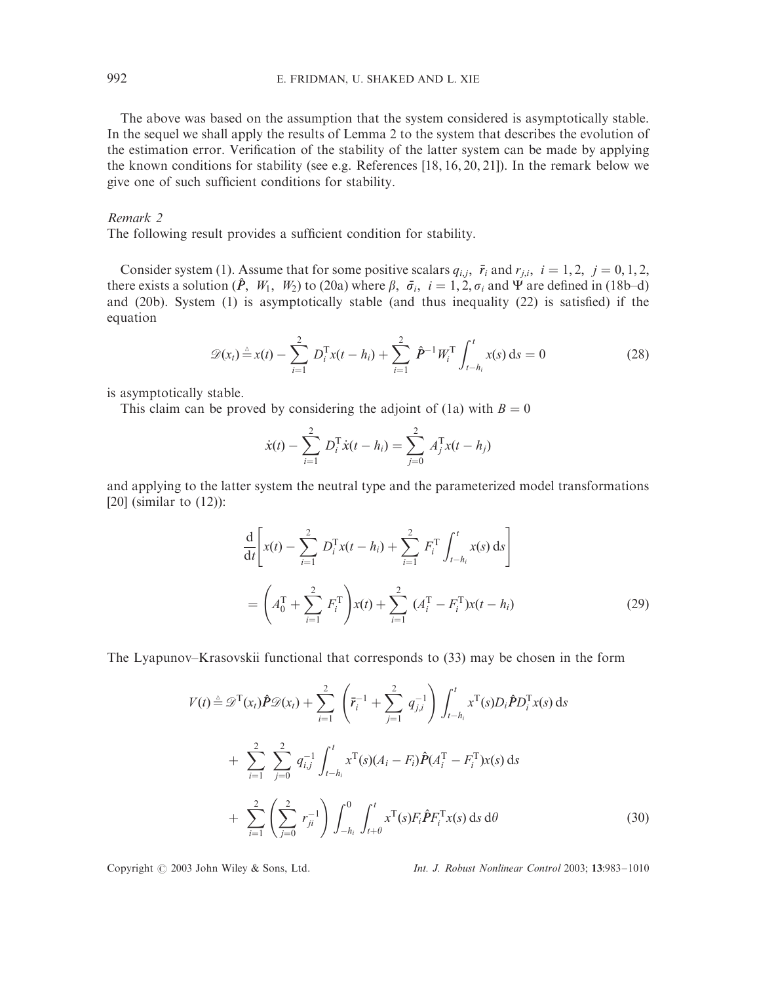The above was based on the assumption that the system considered is asymptotically stable. In the sequel we shall apply the results of Lemma 2 to the system that describes the evolution of the estimation error. Verification of the stability of the latter system can be made by applying the known conditions for stability (see e.g. References [18, 16, 20, 21]). In the remark below we give one of such sufficient conditions for stability.

## Remark 2

The following result provides a sufficient condition for stability.

Consider system (1). Assume that for some positive scalars  $q_{i,j}$ ,  $\bar{r}_i$  and  $r_{j,i}$ ,  $i = 1, 2, j = 0, 1, 2,$ there exists a solution  $(\hat{P}, W_1, W_2)$  to (20a) where  $\beta$ ,  $\bar{\sigma}_i$ ,  $i = 1, 2, \sigma_i$  and  $\Psi$  are defined in (18b–d) and (20b). System (1) is asymptotically stable (and thus inequality (22) is satisfied) if the equation

$$
\mathscr{D}(x_t) \stackrel{\Delta}{=} x(t) - \sum_{i=1}^2 D_i^{\mathrm{T}} x(t - h_i) + \sum_{i=1}^2 \hat{P}^{-1} W_i^{\mathrm{T}} \int_{t - h_i}^t x(s) \, \mathrm{d}s = 0 \tag{28}
$$

is asymptotically stable.

This claim can be proved by considering the adjoint of (1a) with  $B = 0$ 

$$
\dot{x}(t) - \sum_{i=1}^{2} D_i^{\mathrm{T}} \dot{x}(t - h_i) = \sum_{j=0}^{2} A_j^{\mathrm{T}} x(t - h_j)
$$

and applying to the latter system the neutral type and the parameterized model transformations [20] (similar to  $(12)$ ):

$$
\frac{d}{dt} \left[ x(t) - \sum_{i=1}^{2} D_{i}^{T} x(t - h_{i}) + \sum_{i=1}^{2} F_{i}^{T} \int_{t - h_{i}}^{t} x(s) ds \right]
$$
\n
$$
= \left( A_{0}^{T} + \sum_{i=1}^{2} F_{i}^{T} \right) x(t) + \sum_{i=1}^{2} (A_{i}^{T} - F_{i}^{T}) x(t - h_{i})
$$
\n(29)

The Lyapunov–Krasovskii functional that corresponds to (33) may be chosen in the form

$$
V(t) \triangleq \mathcal{D}^{T}(x_{t})\hat{P}\mathcal{D}(x_{t}) + \sum_{i=1}^{2} \left(\bar{r}_{i}^{-1} + \sum_{j=1}^{2} q_{j,i}^{-1}\right) \int_{t-h_{i}}^{t} x^{T}(s)D_{i}\hat{P}D_{i}^{T}x(s) ds + \sum_{i=1}^{2} \sum_{j=0}^{2} q_{i,j}^{-1} \int_{t-h_{i}}^{t} x^{T}(s)(A_{i} - F_{i})\hat{P}(A_{i}^{T} - F_{i}^{T})x(s) ds + \sum_{i=1}^{2} \left(\sum_{j=0}^{2} r_{ji}^{-1}\right) \int_{-h_{i}}^{0} \int_{t+\theta}^{t} x^{T}(s)F_{i}\hat{P}F_{i}^{T}x(s) ds d\theta
$$
(30)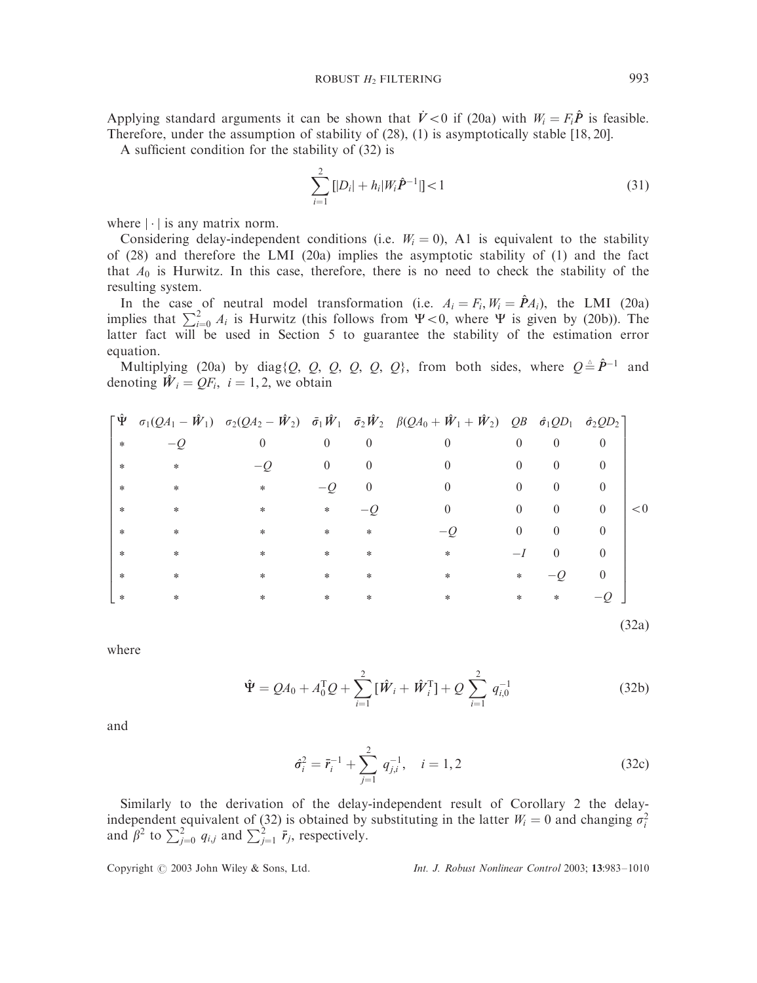Applying standard arguments it can be shown that  $\dot{V} < 0$  if (20a) with  $W_i = F_i \hat{P}$  is feasible. Therefore, under the assumption of stability of (28), (1) is asymptotically stable [18, 20].

A sufficient condition for the stability of (32) is

$$
\sum_{i=1}^{2} [|D_i| + h_i|W_i \hat{P}^{-1}|] < 1
$$
\n(31)

where  $|\cdot|$  is any matrix norm.

Considering delay-independent conditions (i.e.  $W_i = 0$ ), A1 is equivalent to the stability of (28) and therefore the LMI (20a) implies the asymptotic stability of (1) and the fact that  $A_0$  is Hurwitz. In this case, therefore, there is no need to check the stability of the resulting system.

In the case of neutral model transformation (i.e.  $A_i = F_i$ ,  $W_i = \hat{P}A_i$ ), the LMI (20a) implies that  $\sum_{i=0}^{2} A_i$  is Hurwitz (this follows from  $\Psi < 0$ , where  $\Psi$  is given by (20b)). The latter fact will be used in Section 5 to guarantee the stability of the estimation error equation.

Multiplying (20a) by diag{*Q*, *Q*, *Q*, *Q*, *Q*, *Q*}, from both sides, where  $Q \triangleq \hat{P}^{-1}$  and denoting  $\hat{W}_i = QF_i$ ,  $i = 1, 2$ , we obtain

|        |        |          |                |                | $\begin{bmatrix} \hat{\Psi} & \sigma_1(QA_1 - \hat{W}_1) & \sigma_2(QA_2 - \hat{W}_2) & \tilde{\sigma}_1 \hat{W}_1 & \tilde{\sigma}_2 \hat{W}_2 & \beta(QA_0 + \hat{W}_1 + \hat{W}_2) & QB & \hat{\sigma}_1 QD_1 & \hat{\sigma}_2 QD_2 \end{bmatrix}$ |                |                |              |       |
|--------|--------|----------|----------------|----------------|-------------------------------------------------------------------------------------------------------------------------------------------------------------------------------------------------------------------------------------------------------|----------------|----------------|--------------|-------|
| $\ast$ |        | $\theta$ | $\overline{0}$ | $\overline{0}$ | $\theta$                                                                                                                                                                                                                                              | $\overline{0}$ | $\overline{0}$ | $\theta$     |       |
| $\ast$ | $\ast$ |          | $\mathbf{0}$   | $\theta$       | $\theta$                                                                                                                                                                                                                                              | $\overline{0}$ | $\theta$       | $\theta$     |       |
| $\ast$ | $\ast$ | $\ast$   | $-$ O          | $\theta$       | $\theta$                                                                                                                                                                                                                                              | $\overline{0}$ | $\overline{0}$ | $\theta$     |       |
| $\ast$ | $\ast$ | *        | $\ast$         |                | $\overline{0}$                                                                                                                                                                                                                                        | $\mathbf{0}$   | $\overline{0}$ | $\theta$     | < 0   |
| $\ast$ | $\ast$ | $\ast$   | $\ast$         | $\ast$         |                                                                                                                                                                                                                                                       | $\overline{0}$ | $\theta$       | $\mathbf{0}$ |       |
| $\ast$ | $\ast$ | *        | $\ast$         | *              | $\ast$                                                                                                                                                                                                                                                | $-I$           | $\theta$       | $\theta$     |       |
| $\ast$ | $\ast$ | *        | $\ast$         | $\ast$         | $\ast$                                                                                                                                                                                                                                                | $\ast$         | $-$ 0          | $\theta$     |       |
| $\ast$ | *      | *        | *              | $\ast$         | *                                                                                                                                                                                                                                                     | $\ast$         | $\ast$         | $-Q$         |       |
|        |        |          |                |                |                                                                                                                                                                                                                                                       |                |                |              | (32a) |

where

$$
\hat{\Psi} = QA_0 + A_0^{\mathrm{T}}Q + \sum_{i=1}^{2} [\hat{W}_i + \hat{W}_i^{\mathrm{T}}] + Q \sum_{i=1}^{2} q_{i,0}^{-1}
$$
 (32b)

and

$$
\hat{\sigma}_i^2 = \bar{r}_i^{-1} + \sum_{j=1}^2 q_{j,i}^{-1}, \quad i = 1, 2
$$
 (32c)

Similarly to the derivation of the delay-independent result of Corollary 2 the delayindependent equivalent of (32) is obtained by substituting in the latter  $W_i = 0$  and changing  $\sigma_i^2$ and  $\beta^2$  to  $\sum_{j=0}^{2} q_{i,j}$  and  $\sum_{j=1}^{2} \bar{r}_j$ , respectively.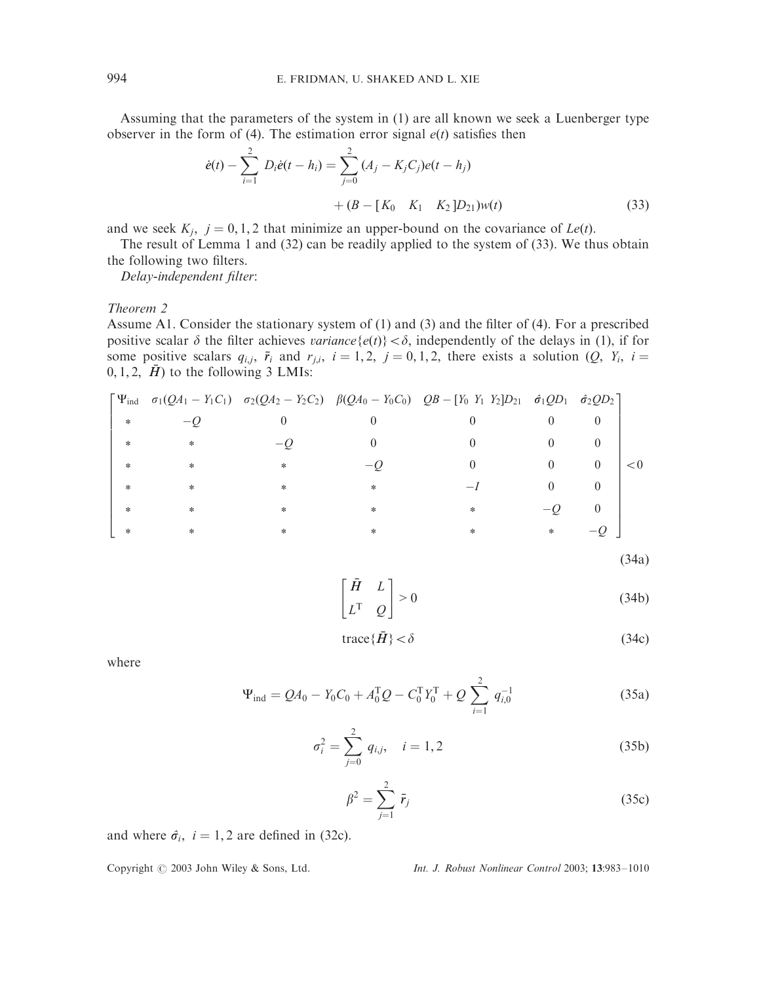Assuming that the parameters of the system in (1) are all known we seek a Luenberger type observer in the form of (4). The estimation error signal  $e(t)$  satisfies then

$$
\dot{e}(t) - \sum_{i=1}^{2} D_i \dot{e}(t - h_i) = \sum_{j=0}^{2} (A_j - K_j C_j) e(t - h_j)
$$
  
+  $(B - [K_0 \quad K_1 \quad K_2] D_{21}) w(t)$  (33)

and we seek  $K_i$ ,  $j = 0, 1, 2$  that minimize an upper-bound on the covariance of  $Le(t)$ .

The result of Lemma 1 and (32) can be readily applied to the system of (33). We thus obtain the following two filters.

Delay-independent filter:

Theorem 2

Assume A1. Consider the stationary system of (1) and (3) and the filter of (4). For a prescribed positive scalar  $\delta$  the filter achieves *variance* { $e(t)$ } <  $\delta$ , independently of the delays in (1), if for some positive scalars  $q_{i,j}$ ,  $\bar{r}_i$  and  $r_{j,i}$ ,  $i = 1, 2$ ,  $j = 0, 1, 2$ , there exists a solution  $(Q, Y_i, i =$ 0, 1, 2,  $\bar{H}$ ) to the following 3 LMIs:

$$
\begin{bmatrix}\n\Psi_{\text{ind}} & \sigma_1(QA_1 - Y_1C_1) & \sigma_2(QA_2 - Y_2C_2) & \beta(QA_0 - Y_0C_0) & QB - [Y_0 \ Y_1 \ Y_2]D_{21} & \hat{\sigma}_1QD_1 & \hat{\sigma}_2QD_2 \\
* & -Q & 0 & 0 & 0 & 0 \\
* & * & -Q & 0 & 0 & 0 \\
* & * & * & -Q & 0 & 0 \\
* & * & * & * & -I & 0 & 0 \\
* & * & * & * & * & -Q & 0 \\
* & * & * & * & * & -Q & 0 \\
* & * & * & * & * & -Q & 0 \\
* & * & * & * & * & * & -Q\n\end{bmatrix} < 0
$$

 $(34a)$ 

$$
\begin{bmatrix} \bar{H} & L \\ L^{\mathrm{T}} & Q \end{bmatrix} > 0 \tag{34b}
$$

$$
trace{\{\bar{H}\}} < \delta \tag{34c}
$$

where

$$
\Psi_{\text{ind}} = QA_0 - Y_0 C_0 + A_0^{\text{T}} Q - C_0^{\text{T}} Y_0^{\text{T}} + Q \sum_{i=1}^{2} q_{i,0}^{-1}
$$
 (35a)

$$
\sigma_i^2 = \sum_{j=0}^2 q_{i,j}, \quad i = 1, 2
$$
 (35b)

$$
\beta^2 = \sum_{j=1}^2 \bar{r}_j \tag{35c}
$$

and where  $\hat{\sigma}_i$ ,  $i = 1, 2$  are defined in (32c).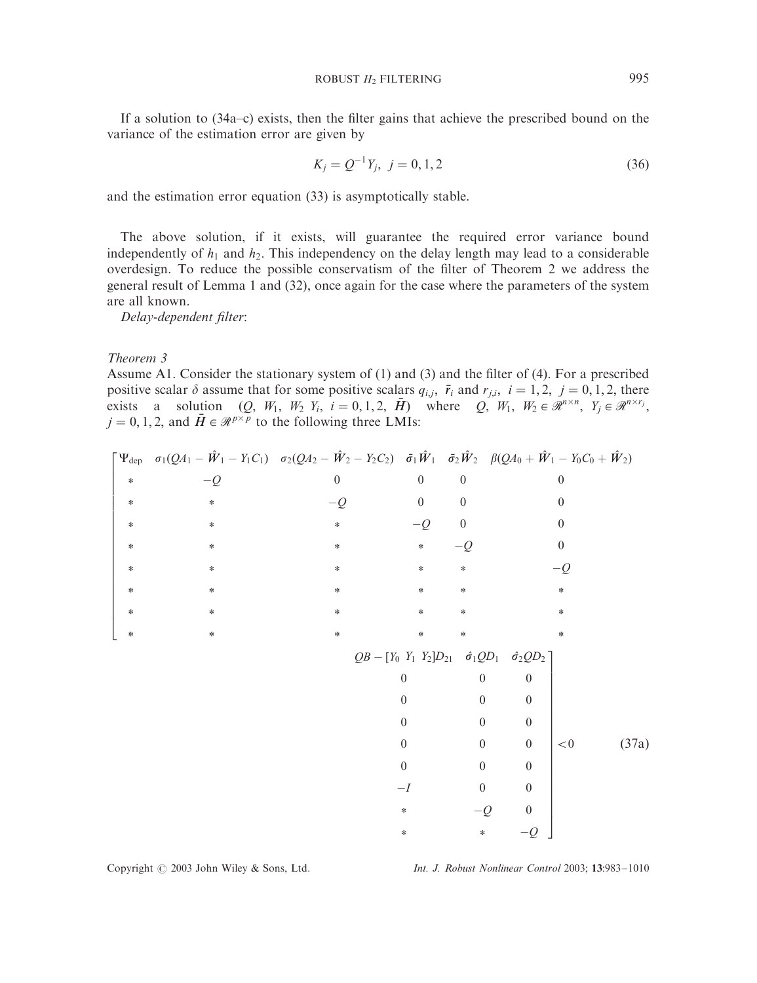If a solution to (34a–c) exists, then the filter gains that achieve the prescribed bound on the variance of the estimation error are given by

$$
K_j = Q^{-1}Y_j, \ j = 0, 1, 2 \tag{36}
$$

and the estimation error equation (33) is asymptotically stable.

The above solution, if it exists, will guarantee the required error variance bound independently of  $h_1$  and  $h_2$ . This independency on the delay length may lead to a considerable overdesign. To reduce the possible conservatism of the filter of Theorem 2 we address the general result of Lemma 1 and (32), once again for the case where the parameters of the system are all known.

Delay-dependent filter:

Theorem 3

Assume A1. Consider the stationary system of (1) and (3) and the filter of (4). For a prescribed positive scalar  $\delta$  assume that for some positive scalars  $q_{i,j}$ ,  $\bar{r}_i$  and  $r_{j,i}$ ,  $i = 1, 2, j = 0, 1, 2$ , there exists a solution  $(Q, W_1, W_2, Y_i, i = 0, 1, 2, \bar{H})$  where  $Q, W_1, W_2 \in \mathcal{R}^{n \times n}, Y_j \in \mathcal{R}^{n \times r_j}$  $j = 0, 1, 2$ , and  $\overline{H} \in \mathcal{R}^{p \times p}$  to the following three LMIs:

|        | $\begin{bmatrix} \Psi_{\text{dep}} & \sigma_1(QA_1 - \hat{W}_1 - Y_1C_1) & \sigma_2(QA_2 - \hat{W}_2 - Y_2C_2) & \bar{\sigma}_1\hat{W}_1 & \bar{\sigma}_2\hat{W}_2 & \beta(QA_0 + \hat{W}_1 - Y_0C_0 + \hat{W}_2) \end{bmatrix}$ |                  |                  |                                                                     |                |                  |       |
|--------|----------------------------------------------------------------------------------------------------------------------------------------------------------------------------------------------------------------------------------|------------------|------------------|---------------------------------------------------------------------|----------------|------------------|-------|
| $\ast$ | $-Q$                                                                                                                                                                                                                             | $\boldsymbol{0}$ | $\overline{0}$   | $\boldsymbol{0}$                                                    |                | $\boldsymbol{0}$ |       |
| $\ast$ | $\ast$                                                                                                                                                                                                                           | $-Q$             | $\overline{0}$   | $\overline{0}$                                                      |                | $\theta$         |       |
| $\ast$ | ∗                                                                                                                                                                                                                                | $\ast$           | $-Q$             | $\mathbf{0}$                                                        |                | $\theta$         |       |
| $\ast$ | ∗                                                                                                                                                                                                                                | $\ast$           | $\ast$           | $-Q$                                                                |                | $\theta$         |       |
| $\ast$ | $\ast$                                                                                                                                                                                                                           | $\ast$           | $\ast$           | $\ast$                                                              |                | $-Q$             |       |
| *      | ∗                                                                                                                                                                                                                                | $\ast$           | $\ast$           | $\ast$                                                              |                | *                |       |
| *      | ∗                                                                                                                                                                                                                                | $\ast$           | $\ast$           | *                                                                   |                | *                |       |
| $\ast$ | ∗                                                                                                                                                                                                                                | $\ast$           | $\ast$           | $\ast$                                                              |                | *                |       |
|        |                                                                                                                                                                                                                                  |                  |                  | $QB - [Y_0 Y_1 Y_2]D_{21} \hat{\sigma}_1 QD_1 \hat{\sigma}_2 QD_2]$ |                |                  |       |
|        |                                                                                                                                                                                                                                  |                  | $\boldsymbol{0}$ | $\boldsymbol{0}$                                                    | $\overline{0}$ |                  |       |
|        |                                                                                                                                                                                                                                  |                  | $\theta$         | $\overline{0}$                                                      | $\overline{0}$ |                  |       |
|        |                                                                                                                                                                                                                                  |                  | $\overline{0}$   | $\mathbf{0}$                                                        | $\overline{0}$ |                  |       |
|        |                                                                                                                                                                                                                                  |                  | $\boldsymbol{0}$ | $\boldsymbol{0}$                                                    | $\overline{0}$ | $\!<\!0$         | (37a) |
|        |                                                                                                                                                                                                                                  |                  | $\theta$         | $\overline{0}$                                                      | $\overline{0}$ |                  |       |
|        |                                                                                                                                                                                                                                  |                  | $-I$             | $\mathbf{0}$                                                        | $\theta$       |                  |       |
|        |                                                                                                                                                                                                                                  |                  | *                | $-Q$                                                                | $\overline{0}$ |                  |       |
|        |                                                                                                                                                                                                                                  |                  | *                | *                                                                   | $-$ 0          |                  |       |

Copyright  $@$  2003 John Wiley & Sons, Ltd. Int. J. Robust Nonlinear Control 2003; 13:983-1010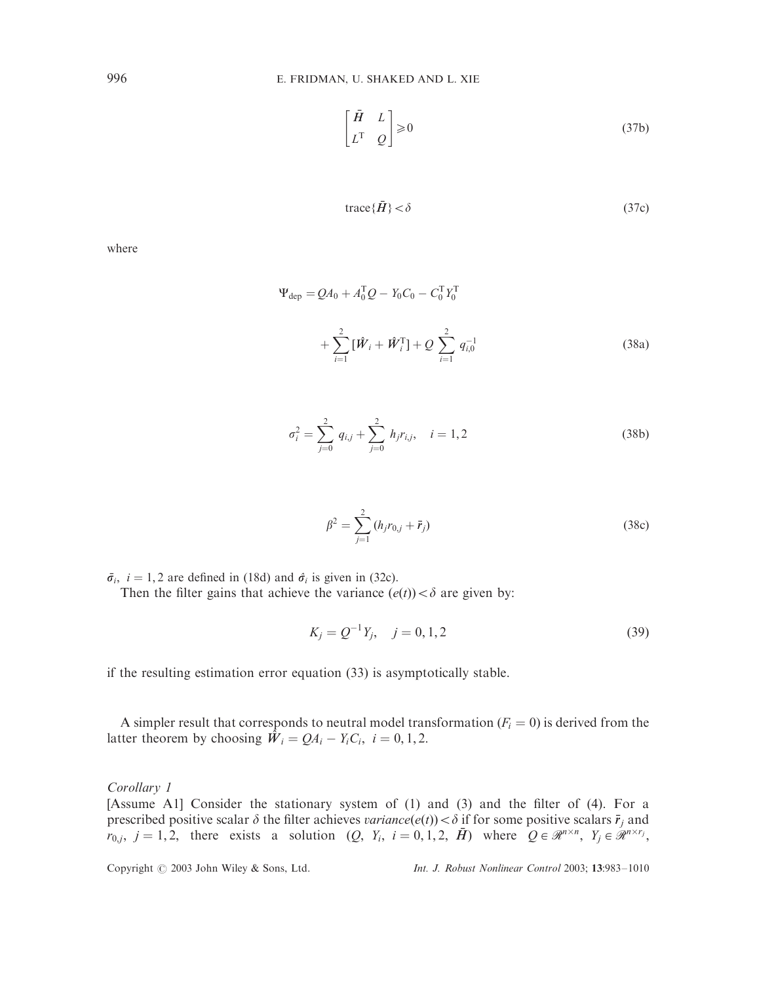$$
\begin{bmatrix} \bar{H} & L \\ L^{\mathrm{T}} & Q \end{bmatrix} \geq 0 \tag{37b}
$$

$$
trace{\{\bar{H}\}} < \delta \tag{37c}
$$

$$
\Psi_{\text{dep}} = QA_0 + A_0^{\text{T}}Q - Y_0C_0 - C_0^{\text{T}}Y_0^{\text{T}} \n+ \sum_{i=1}^{2} [\hat{W}_i + \hat{W}_i^{\text{T}}] + Q \sum_{i=1}^{2} q_{i,0}^{-1}
$$
\n(38a)

$$
\sigma_i^2 = \sum_{j=0}^2 q_{i,j} + \sum_{j=0}^2 h_j r_{i,j}, \quad i = 1, 2
$$
 (38b)

$$
\beta^2 = \sum_{j=1}^2 (h_j r_{0,j} + \bar{r}_j)
$$
\n(38c)

 $\bar{\sigma}_i$ ,  $i = 1, 2$  are defined in (18d) and  $\hat{\sigma}_i$  is given in (32c).

Then the filter gains that achieve the variance  $(e(t)) < \delta$  are given by:

$$
K_j = Q^{-1}Y_j, \quad j = 0, 1, 2
$$
\n(39)

if the resulting estimation error equation (33) is asymptotically stable.

A simpler result that corresponds to neutral model transformation  $(F<sub>i</sub> = 0)$  is derived from the latter theorem by choosing  $\hat{W}_i = QA_i - Y_iC_i$ ,  $i = 0, 1, 2$ .

Corollary 1

[Assume A1] Consider the stationary system of (1) and (3) and the filter of (4). For a prescribed positive scalar  $\delta$  the filter achieves *variance* $(e(t)) < \delta$  if for some positive scalars  $\bar{r}_i$  and  $r_{0,j}$ ,  $j = 1, 2$ , there exists a solution  $(Q, Y_i, i = 0, 1, 2, \bar{H})$  where  $Q \in \mathcal{R}^{n \times n}$ ,  $Y_j \in \mathcal{R}^{n \times r_j}$ ,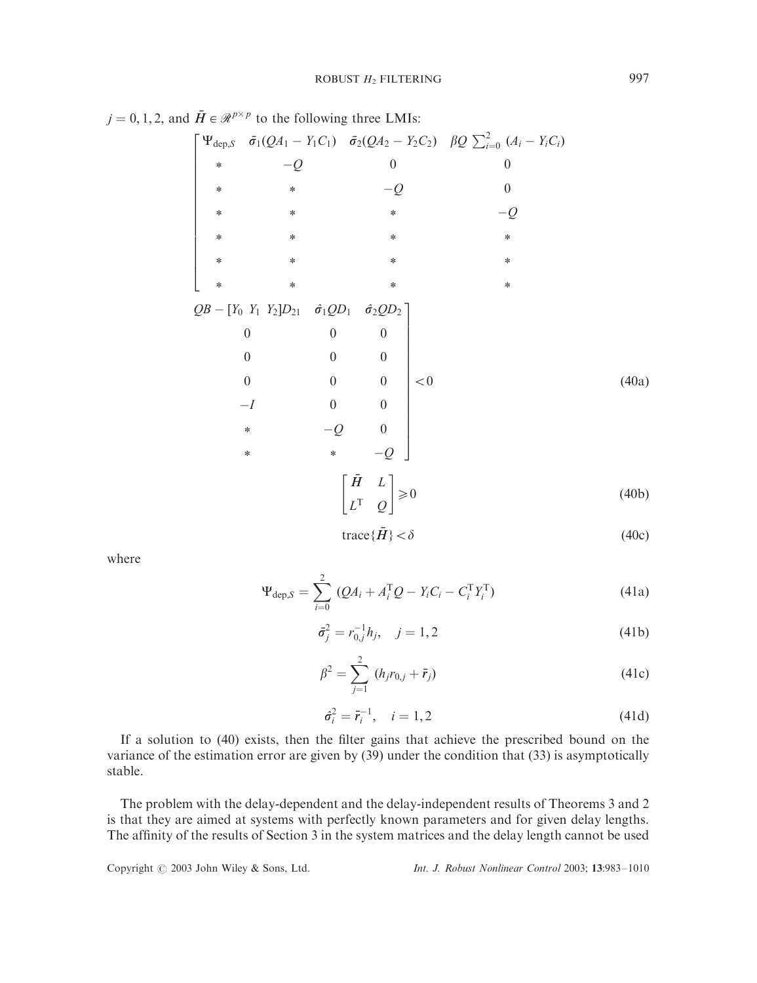$$
j = 0, 1, 2, \text{ and } \tilde{H} \in \mathcal{R}^{p \times p} \text{ to the following three LMIs:}
$$
\n
$$
\begin{bmatrix}\n\Psi_{\text{dep},S} & \tilde{\sigma}_1(QA_1 - Y_1C_1) & \tilde{\sigma}_2(QA_2 - Y_2C_2) & \beta Q \sum_{i=0}^2 (A_i - Y_iC_i) \\
\ast & -Q & 0 & 0 \\
\ast & \ast & -Q & 0 \\
\ast & \ast & \ast & -Q & 0 \\
\ast & \ast & \ast & \ast & -Q & 0 \\
\ast & \ast & \ast & \ast & \ast \\
\ast & \ast & \ast & \ast & \ast \\
\ast & \ast & \ast & \ast & \ast \\
\delta QB - [Y_0 Y_1 Y_2]D_{21} & \hat{\sigma}_1 QD_1 & \hat{\sigma}_2 QD_2] & 0 & 0 & 0 \\
0 & 0 & 0 & 0 & 0 & 0 \\
0 & 0 & 0 & 0 & 0 & 0 \\
0 & 0 & 0 & 0 & 0 & 0 \\
0 & 0 & 0 & 0 & 0 & 0 \\
0 & \ast & -Q & 0 & 0 & 0 \\
\ast & \ast & -Q & 0 & 0 & 0 \\
\end{bmatrix} < 0
$$
\n(40a)

$$
trace{\{\bar{H}\}} < \delta \tag{40c}
$$

$$
\Psi_{\text{dep},S} = \sum_{i=0}^{2} (Q A_i + A_i^{\text{T}} Q - Y_i C_i - C_i^{\text{T}} Y_i^{\text{T}})
$$
(41a)

$$
\bar{\sigma}_j^2 = r_{0,j}^{-1} h_j, \quad j = 1, 2
$$
\n(41b)

$$
\beta^2 = \sum_{j=1}^2 (h_j r_{0,j} + \bar{r}_j)
$$
\n(41c)

$$
\hat{\sigma}_i^2 = \bar{r}_i^{-1}, \quad i = 1, 2 \tag{41d}
$$

If a solution to (40) exists, then the filter gains that achieve the prescribed bound on the variance of the estimation error are given by (39) under the condition that (33) is asymptotically stable.

The problem with the delay-dependent and the delay-independent results of Theorems 3 and 2 is that they are aimed at systems with perfectly known parameters and for given delay lengths. The affinity of the results of Section 3 in the system matrices and the delay length cannot be used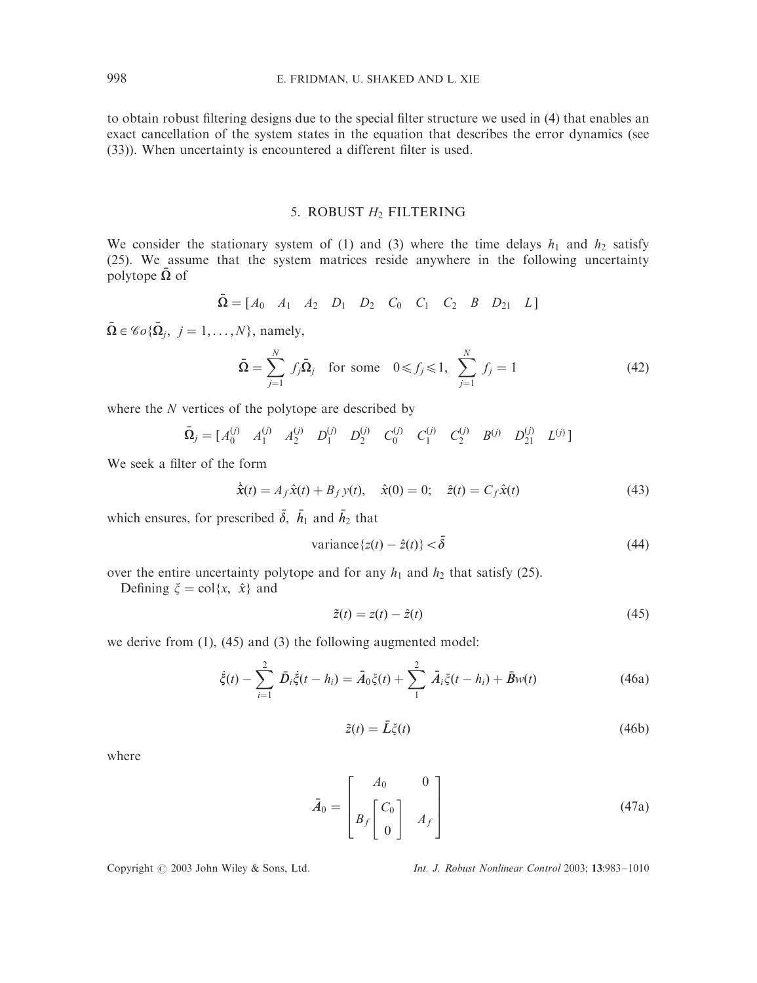to obtain robust filtering designs due to the special filter structure we used in (4) that enables an exact cancellation of the system states in the equation that describes the error dynamics (see (33)). When uncertainty is encountered a different filter is used.

## 5. ROBUST *H*<sup>2</sup> FILTERING

We consider the stationary system of (1) and (3) where the time delays  $h_1$  and  $h_2$  satisfy (25). We assume that the system matrices reside anywhere in the following uncertainty polytope  $\Omega$  of

$$
\bar{\mathbf{\Omega}} = [A_0 \ A_1 \ A_2 \ D_1 \ D_2 \ C_0 \ C_1 \ C_2 \ B \ D_{21} \ L]
$$

 $\overline{\mathbf{\Omega}} \in \mathscr{C}o{\{\overline{\mathbf{\Omega}}_i, i = 1, ..., N\}}$ , namely,

$$
\bar{\mathbf{\Omega}} = \sum_{j=1}^{N} f_j \bar{\mathbf{\Omega}}_j \quad \text{for some} \quad 0 \le f_j \le 1, \ \sum_{j=1}^{N} f_j = 1 \tag{42}
$$

where the *N* vertices of the polytope are described by

$$
\bar{\Omega}_j = \begin{bmatrix} A_0^{(j)} & A_1^{(j)} & A_2^{(j)} & D_1^{(j)} & D_2^{(j)} & C_0^{(j)} & C_1^{(j)} & C_2^{(j)} & B^{(j)} & D_{21}^{(j)} & L^{(j)} \end{bmatrix}
$$

We seek a filter of the form

$$
\dot{\hat{x}}(t) = A_f \hat{x}(t) + B_f y(t), \quad \hat{x}(0) = 0; \quad \hat{z}(t) = C_f \hat{x}(t)
$$
\n(43)

which ensures, for prescribed  $\bar{\delta}$ ,  $\bar{h}_1$  and  $\bar{h}_2$  that

variance
$$
\{z(t) - \hat{z}(t)\} < \bar{\delta} \tag{44}
$$

over the entire uncertainty polytope and for any  $h_1$  and  $h_2$  that satisfy (25).

Defining  $\xi = \text{col}\{x, \hat{x}\}\$ and

$$
\tilde{z}(t) = z(t) - \hat{z}(t) \tag{45}
$$

we derive from (1), (45) and (3) the following augmented model:

$$
\dot{\xi}(t) - \sum_{i=1}^{2} \bar{D}_i \dot{\xi}(t - h_i) = \bar{A}_0 \xi(t) + \sum_{1}^{2} \bar{A}_i \xi(t - h_i) + \bar{B}w(t)
$$
(46a)

$$
\tilde{z}(t) = \bar{L}\xi(t) \tag{46b}
$$

where

$$
\bar{A}_0 = \begin{bmatrix} A_0 & 0 \\ B_f \begin{bmatrix} C_0 \\ 0 \end{bmatrix} & A_f \end{bmatrix}
$$
 (47a)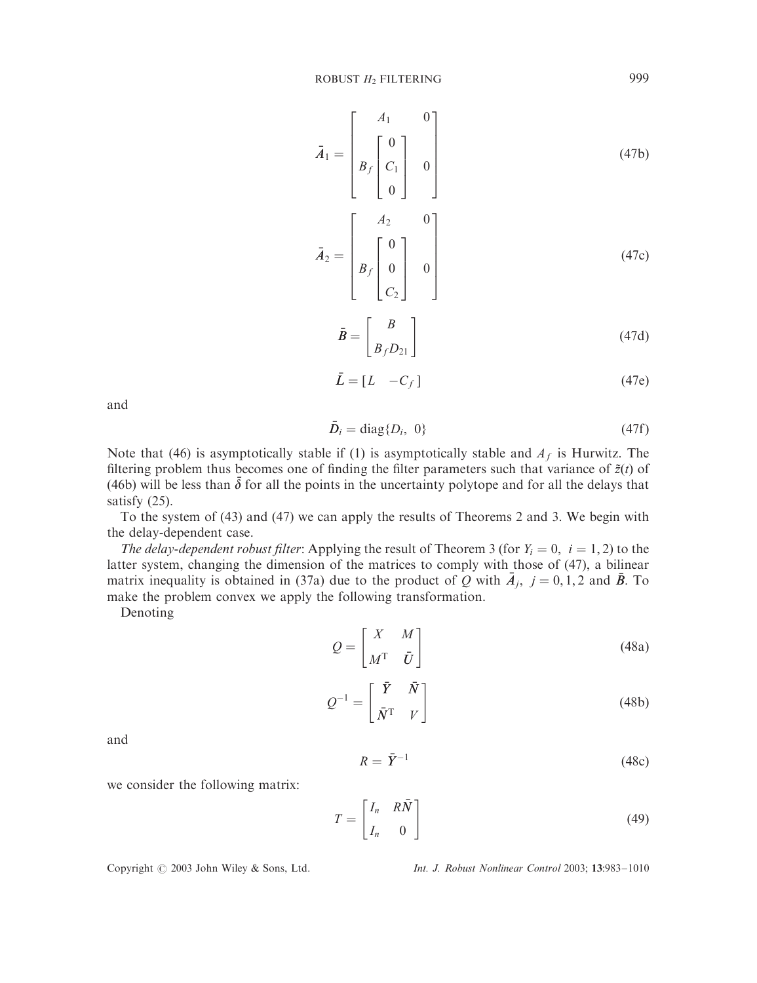$$
\bar{A}_1 = \begin{bmatrix} A_1 & 0 \\ B_f & 0 \\ 0 & 0 \end{bmatrix}
$$
(47b)  

$$
\bar{A}_2 = \begin{bmatrix} A_2 & 0 \\ B_f & 0 \\ 0 & 0 \\ C_2 \end{bmatrix} \qquad (47c)
$$

$$
\bar{B} = \begin{bmatrix} B \\ B_f D_{21} \end{bmatrix} \tag{47d}
$$

$$
\bar{L} = [L \quad -C_f] \tag{47e}
$$

and

$$
\bar{D}_i = \text{diag}\{D_i, 0\} \tag{47f}
$$

Note that (46) is asymptotically stable if (1) is asymptotically stable and  $A_f$  is Hurwitz. The filtering problem thus becomes one of finding the filter parameters such that variance of  $\tilde{z}(t)$  of (46b) will be less than  $\bar{\delta}$  for all the points in the uncertainty polytope and for all the delays that satisfy (25).

To the system of (43) and (47) we can apply the results of Theorems 2 and 3. We begin with the delay-dependent case.

The delay-dependent robust filter: Applying the result of Theorem 3 (for  $Y_i = 0$ ,  $i = 1, 2$ ) to the latter system, changing the dimension of the matrices to comply with those of (47), a bilinear matrix inequality is obtained in (37a) due to the product of *Q* with  $A_j$ ,  $j = 0, 1, 2$  and *B*. To make the problem convex we apply the following transformation.

Denoting

 $Q = \begin{bmatrix} X & M \\ & & Z \end{bmatrix}$  $M^{\mathrm{T}}$   $\bar{U}$  $\begin{bmatrix} V & M \end{bmatrix}$  $(48a)$ 

$$
Q^{-1} = \begin{bmatrix} \bar{Y} & \bar{N} \\ \bar{N}^{\mathrm{T}} & V \end{bmatrix}
$$
 (48b)

and

$$
R = \bar{Y}^{-1} \tag{48c}
$$

we consider the following matrix:

$$
T = \begin{bmatrix} I_n & R\bar{N} \\ I_n & 0 \end{bmatrix}
$$
 (49)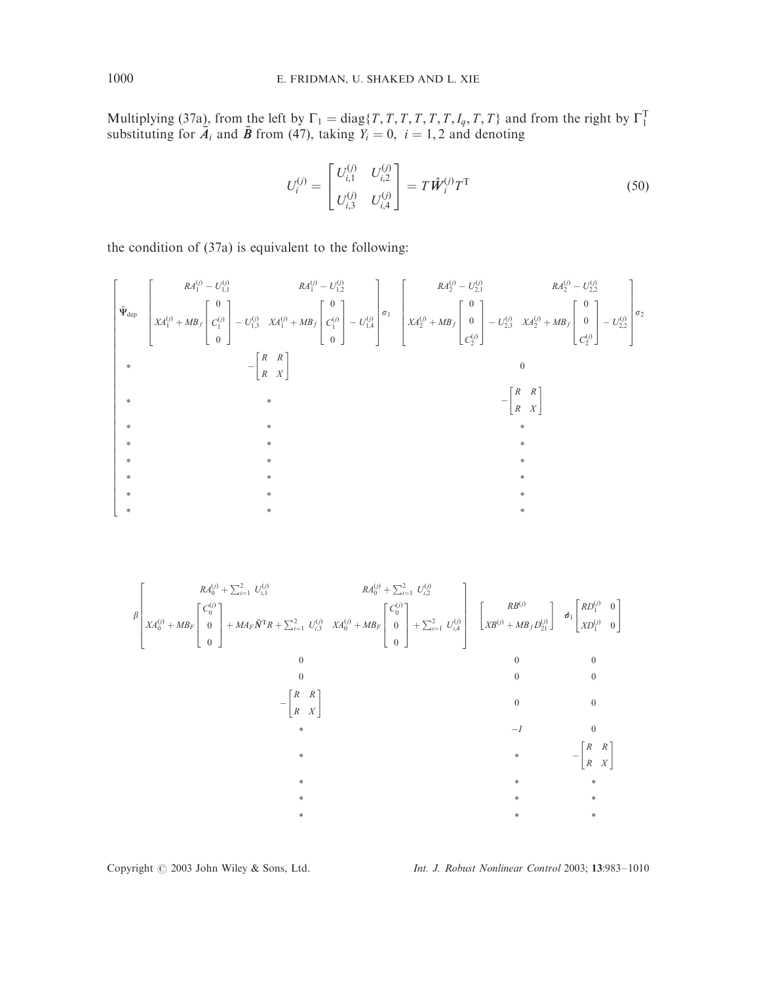Multiplying (37a), from the left by  $\Gamma_1 = \text{diag}\{T, T, T, T, T, T, T, I_q, T, T\}$  and from the right by  $\Gamma_1^T$  substituting for  $\overline{A}_i$  and  $\overline{B}$  from (47), taking  $Y_i = 0$ ,  $i = 1, 2$  and denoting

$$
U_i^{(j)} = \begin{bmatrix} U_{i,1}^{(j)} & U_{i,2}^{(j)} \\ U_{i,3}^{(j)} & U_{i,4}^{(j)} \end{bmatrix} = T \hat{W}_i^{(j)} T^{\mathrm{T}}
$$
(50)

the condition of (37a) is equivalent to the following:

$$
\begin{bmatrix}\nR A_1^{(j)} - U_{1,1}^{(j)} & R A_1^{(j)} - U_{1,2}^{(j)} \\
X A_1^{(j)} + M B_f \begin{bmatrix} 0 \\ C_1^{(j)} \\ 0 \end{bmatrix} - U_{1,3}^{(j)} & X A_1^{(j)} + M B_f \begin{bmatrix} 0 \\ C_1^{(j)} \\ 0 \end{bmatrix} - U_{1,4}^{(j)}\end{bmatrix} \sigma_1\n\begin{bmatrix}\nR A_2^{(j)} - U_{2,1}^{(j)} & R A_2^{(j)} - U_{2,2}^{(j)} \\
X A_2^{(j)} + M B_f \begin{bmatrix} 0 \\ 0 \\ C_2^{(j)} \end{bmatrix} - U_{2,3}^{(j)} & X A_2^{(j)} + M B_f \begin{bmatrix} 0 \\ 0 \\ C_2^{(j)} \end{bmatrix} - U_{2,2}^{(j)}\end{bmatrix} \sigma_2\n-\begin{bmatrix}\nR & R \\
R & X\n\end{bmatrix}
$$

$$
\beta \left[ X A_0^{(j)} + \sum_{i=1}^2 U_{i,1}^{(j)} \right] + M A_F \tilde{N}^{\mathrm{T}} R + \sum_{i=1}^2 U_{i,3}^{(j)} X A_0^{(j)} + M B_F \begin{bmatrix} C_0^{(j)} \\ 0 \\ 0 \end{bmatrix} + \sum_{i=1}^2 U_{i,2}^{(j)} X A_0^{(j)} + M B_F \begin{bmatrix} C_0^{(j)} \\ 0 \\ 0 \end{bmatrix} + \sum_{i=1}^2 U_{i,3}^{(j)} X A_0^{(j)} + M B_F \begin{bmatrix} C_0^{(j)} \\ 0 \\ 0 \end{bmatrix} + \sum_{i=1}^2 U_{i,4}^{(j)} \begin{bmatrix} R B^{(j)} \\ 0 \\ 0 \end{bmatrix} + \sum_{i=1}^2 U_{i,4}^{(j)} \begin{bmatrix} R B^{(j)} \\ 0 \\ 0 \end{bmatrix} \begin{bmatrix} R B^{(j)} \\ 0 \\ R B^{(j)} \end{bmatrix} \begin{bmatrix} R B^{(j)} \\ 0 \\ 0 \end{bmatrix} \begin{bmatrix} R B^{(j)} \\ 0 \\ 0 \end{bmatrix} \begin{bmatrix} R B^{(j)} \\ 0 \\ 0 \end{bmatrix} \begin{bmatrix} R B^{(j)} \\ 0 \\ 0 \end{bmatrix}
$$

Copyright  $\odot$  2003 John Wiley & Sons, Ltd. Int. J. Robust Nonlinear Control 2003; 13:983-1010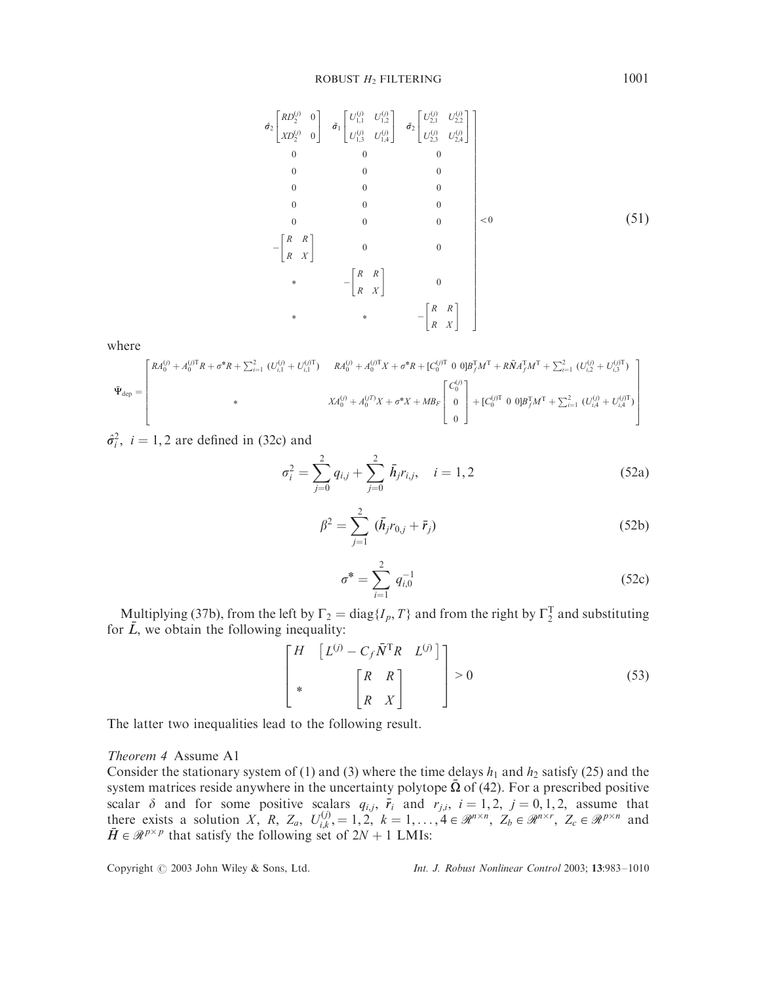$$
\hat{\sigma}_{2} \begin{bmatrix} R D_{2}^{(j)} & 0 \\ x D_{2}^{(j)} & 0 \end{bmatrix} \quad \bar{\sigma}_{1} \begin{bmatrix} U_{1,1}^{(j)} & U_{1,2}^{(j)} \\ U_{1,3}^{(j)} & U_{1,4}^{(j)} \end{bmatrix} \quad \bar{\sigma}_{2} \begin{bmatrix} U_{2,1}^{(j)} & U_{2,2}^{(j)} \\ U_{2,3}^{(j)} & U_{2,4}^{(j)} \end{bmatrix}
$$
\n
$$
\begin{bmatrix} 0 & 0 & 0 \\ 0 & 0 & 0 \\ 0 & 0 & 0 \end{bmatrix} \quad \begin{bmatrix} 0 & 0 \\ 0 & 0 \end{bmatrix}
$$
\n
$$
\begin{bmatrix} 0 & 0 \\ 0 & 0 \end{bmatrix} \quad \begin{bmatrix} 0 & 0 \\ 0 & 0 \end{bmatrix} \quad \begin{bmatrix} 0 & 0 \\ 0 & 0 \end{bmatrix}
$$
\n
$$
\begin{bmatrix} 0 & R \\ R & X \end{bmatrix} \quad \begin{bmatrix} 0 & 0 \\ 0 & 0 \end{bmatrix} \quad \begin{bmatrix} 0 & 0 \\ 0 & 0 \end{bmatrix} \quad \begin{bmatrix} 0 & R \\ 0 & X \end{bmatrix}
$$
\n
$$
\begin{bmatrix} 0 & R \\ R & X \end{bmatrix} \quad \begin{bmatrix} 0 & 0 \\ 0 & 0 \end{bmatrix} \quad \begin{bmatrix} 0 & R \\ R & X \end{bmatrix}
$$

$$
\tilde{\Psi}_{\text{dep}} = \begin{bmatrix} R A_0^{(j)} + A_0^{(j)} R + \sigma^* R + \sum_{i=1}^2 (U_{i,1}^{(j)} + U_{i,1}^{(j)T}) & R A_0^{(j)} + A_0^{(j)T} X + \sigma^* R + [C_0^{(j)T} \ 0 \ 0] B_J^T M^T + R \bar{M} A_J^T M^T + \sum_{i=1}^2 (U_{i,2}^{(j)} + U_{i,3}^{(j)T}) \\ & * & X A_0^{(j)} + A_0^{(j)T} X + \sigma^* X + M B_F \begin{bmatrix} C_0^{(j)} \\ 0 \\ 0 \\ 0 \end{bmatrix} + [C_0^{(j)T} \ 0 \ 0] B_J^T M^T + \sum_{i=1}^2 (U_{i,4}^{(j)} + U_{i,4}^{(j)T}) \end{bmatrix}
$$

 $\hat{\sigma}_i^2$ , *i* = 1, 2 are defined in (32c) and

$$
\sigma_i^2 = \sum_{j=0}^2 q_{i,j} + \sum_{j=0}^2 \bar{h}_j r_{i,j}, \quad i = 1, 2
$$
 (52a)

$$
\beta^2 = \sum_{j=1}^2 (\bar{h}_j r_{0,j} + \bar{r}_j)
$$
\n(52b)

$$
\sigma^* = \sum_{i=1}^2 q_{i,0}^{-1} \tag{52c}
$$

Multiplying (37b), from the left by  $\Gamma_2 = \text{diag}\{I_p, T\}$  and from the right by  $\Gamma_2^T$  and substituting for  $\bar{L}$ , we obtain the following inequality:

$$
\begin{bmatrix} H & \left[ L^{(j)} - C_f \bar{N}^{\mathrm{T}} R & L^{(j)} \right] \\ * & \left[ \begin{array}{c} R & R \\ R & X \end{array} \right] \end{bmatrix} > 0 \tag{53}
$$

The latter two inequalities lead to the following result.

## Theorem 4 Assume A1

Consider the stationary system of (1) and (3) where the time delays  $h_1$  and  $h_2$  satisfy (25) and the system matrices reside anywhere in the uncertainty polytope  $\overline{\Omega}$  of (42). For a prescribed positive scalar  $\delta$  and for some positive scalars  $q_{i,j}$ ,  $\bar{r}_i$  and  $r_{j,i}$ ,  $i = 1, 2, j = 0, 1, 2$ , assume that there exists a solution *X*, *R*, *Z<sub>a</sub>*,  $U_{i,k}^{(j)} = 1, 2, k = 1, ..., 4 \in \mathbb{R}^{n \times n}$ ,  $Z_b \in \mathbb{R}^{n \times r}$ ,  $Z_c \in \mathbb{R}^{p \times n}$  and  $\overline{H} \in \mathcal{R}^{p \times p}$  that satisfy the following set of  $2N + 1$  LMIs: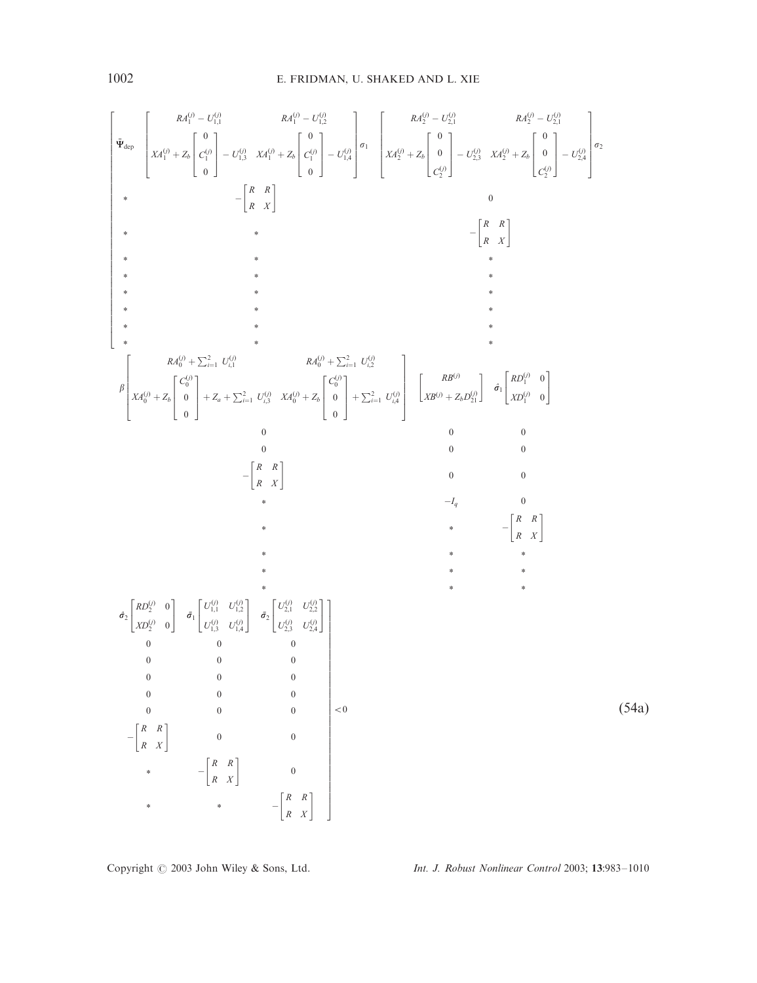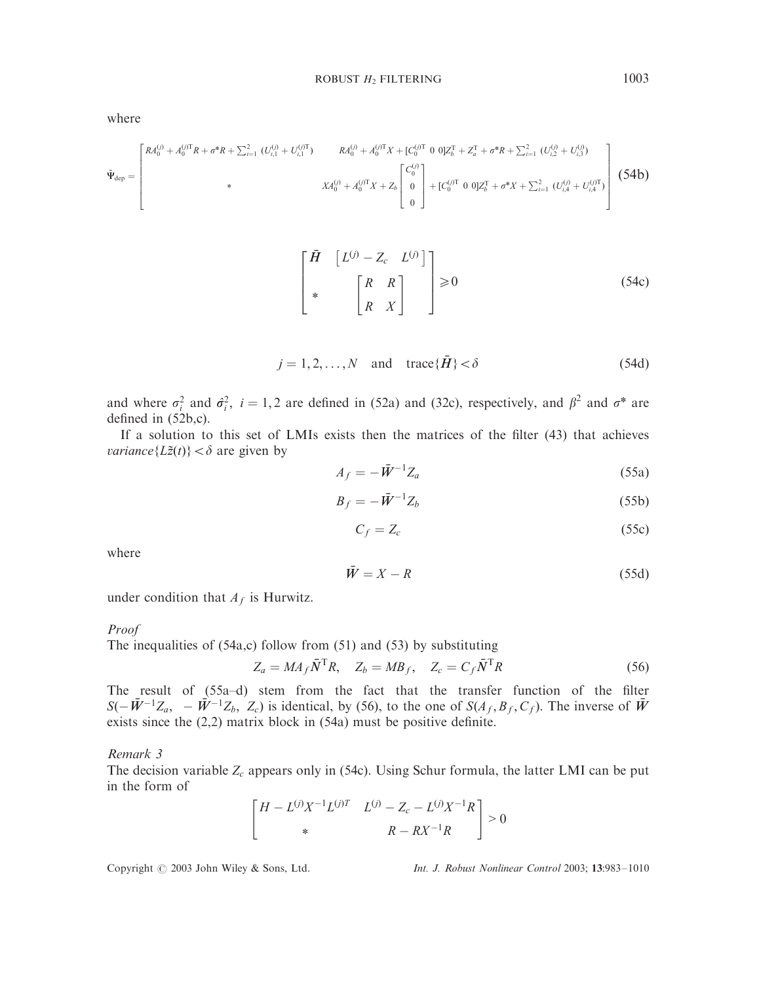$$
\bar{\Psi}_{\text{dep}} = \begin{bmatrix} R A_0^{(j)} + A_0^{(j)} R + \sigma^* R + \sum_{i=1}^2 (U_{i,1}^{(j)} + U_{i,1}^{(j)T}) & R A_0^{(j)} + A_0^{(j)T} X + [C_0^{(j)T} \ 0 \ 0] Z_b^T + Z_a^T + \sigma^* R + \sum_{i=1}^2 (U_{i,2}^{(j)} + U_{i,3}^{(j)}) \\ & \ast & X A_0^{(j)} + A_0^{(j)T} X + Z_b \begin{bmatrix} C_0^{(j)} \\ 0 \\ 0 \end{bmatrix} + [C_0^{(j)T} \ 0 \ 0] Z_b^T + \sigma^* X + \sum_{i=1}^2 (U_{i,4}^{(j)} + U_{i,4}^{(j)T}) \end{bmatrix} \tag{54b}
$$

$$
\begin{bmatrix} \bar{H} & \begin{bmatrix} L^{(j)} - Z_c & L^{(j)} \end{bmatrix} \\ * & \begin{bmatrix} R & R \\ R & X \end{bmatrix} \end{bmatrix} \ge 0
$$
 (54c)

$$
j = 1, 2, \dots, N \quad \text{and} \quad \text{trace}\{\bar{H}\} < \delta \tag{54d}
$$

and where  $\sigma_i^2$  and  $\hat{\sigma}_i^2$ ,  $i = 1, 2$  are defined in (52a) and (32c), respectively, and  $\beta^2$  and  $\sigma^*$  are defined in (52b,c).

If a solution to this set of LMIs exists then the matrices of the filter (43) that achieves *variance*{ $L\tilde{z}(t)$ } <  $\delta$  are given by

$$
A_f = -\bar{W}^{-1} Z_a \tag{55a}
$$

$$
B_f = -\bar{W}^{-1}Z_b \tag{55b}
$$

$$
C_f = Z_c \tag{55c}
$$

where

$$
\bar{W} = X - R \tag{55d}
$$

under condition that  $A_f$  is Hurwitz.

#### Proof

The inequalities of  $(54a,c)$  follow from  $(51)$  and  $(53)$  by substituting

 $Z_a = MA_f \bar{N}^{\text{T}} R$ ,  $Z_b = MB_f$ ,  $Z_c = C_f \bar{N}^{\text{T}} R$  (56)

The result of (55a–d) stem from the fact that the transfer function of the filter  $S(-\bar{W}^{-1}Z_{a}, -\bar{W}^{-1}Z_{b}, Z_{c})$  is identical, by (56), to the one of  $S(A_{f}, B_{f}, C_{f})$ . The inverse of  $\bar{W}$ exists since the (2,2) matrix block in (54a) must be positive definite.

## Remark 3

The decision variable  $Z_c$  appears only in (54c). Using Schur formula, the latter LMI can be put in the form of

$$
\begin{bmatrix} H - L^{(j)}X^{-1}L^{(j)T} & L^{(j)} - Z_c - L^{(j)}X^{-1}R \\ * & R - RX^{-1}R \end{bmatrix} > 0
$$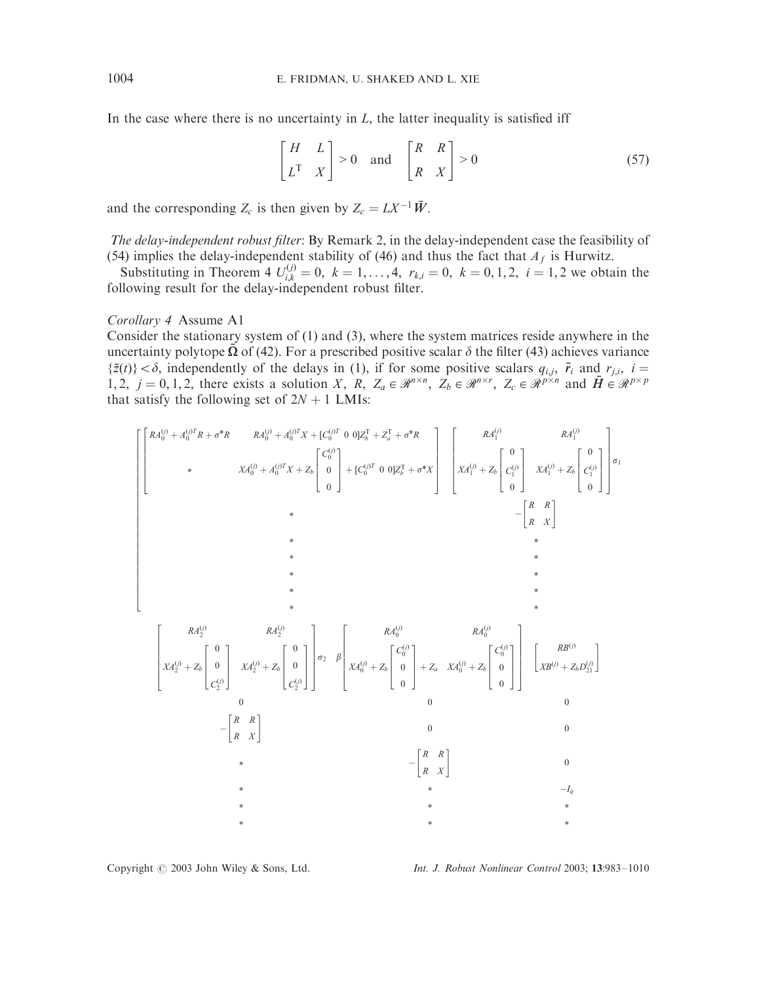In the case where there is no uncertainty in  $L$ , the latter inequality is satisfied iff

$$
\begin{bmatrix} H & L \\ L^T & X \end{bmatrix} > 0 \quad \text{and} \quad \begin{bmatrix} R & R \\ R & X \end{bmatrix} > 0 \tag{57}
$$

and the corresponding  $Z_c$  is then given by  $Z_c = LX^{-1} \overline{W}$ .

The delay-independent robust filter: By Remark 2, in the delay-independent case the feasibility of (54) implies the delay-independent stability of (46) and thus the fact that  $A_f$  is Hurwitz.

Substituting in Theorem 4  $U_{i,k}^{(j)} = 0$ ,  $k = 1,..., 4$ ,  $r_{k,i} = 0$ ,  $k = 0, 1, 2$ ,  $i = 1, 2$  we obtain the following result for the delay-independent robust filter.

Corollary 4 Assume A1

Consider the stationary system of (1) and (3), where the system matrices reside anywhere in the uncertainty polytope  $\Omega$  of (42). For a prescribed positive scalar  $\delta$  the filter (43) achieves variance  $\{\tilde{z}(t)\} < \delta$ , independently of the delays in (1), if for some positive scalars  $q_{i,j}$ ,  $\bar{r}_i$  and  $r_{j,i}$ ,  $i =$ 1, 2,  $j = 0, 1, 2$ , there exists a solution *X*, *R*,  $Z_a \in \mathcal{R}^{n \times n}$ ,  $Z_b \in \mathcal{R}^{n \times r}$ ,  $Z_c \in \mathcal{R}^{p \times n}$  and  $\overline{H} \in \mathcal{R}^{p \times p}$ that satisfy the following set of  $2N + 1$  LMIs:

$$
\begin{bmatrix}\nR A_0^{(j)} + A_0^{(j)} R + \sigma^* R & R A_0^{(j)} + A_0^{(j)} X + L \begin{bmatrix} C_0^{(j)} & 0 \end{bmatrix} Z_b^T + Z_a^T + \sigma^* R \\
& \times & X A_0^{(j)} + A_0^{(j)} X + Z_b \begin{bmatrix} C_0^{(j)} & 0 \end{bmatrix} + [C_0^{(j)T} 0 0] Z_b^T + \sigma^* X \\
& \times & \begin{bmatrix} R A_1^{(j)} & 0 \end{bmatrix} \begin{bmatrix} R A_1^{(j)} & R A_1^{(j)} & 0 \end{bmatrix} \begin{bmatrix} R A_1^{(j)} & 0 \end{bmatrix} \\
& \times & \begin{bmatrix} R A_1^{(j)} & 0 \end{bmatrix} \begin{bmatrix} C_0^{(j)} & 0 \end{bmatrix} \\
& \times & \begin{bmatrix} R A_1^{(j)} & R A_0^{(j)} & 0 \end{bmatrix} \\
& \times & \begin{bmatrix} R A_2^{(j)} & 0 \end{bmatrix} \begin{bmatrix} R A_2^{(j)} & 0 \end{bmatrix} \\
& \times & \begin{bmatrix} R A_2^{(j)} & 0 \end{bmatrix} \begin{bmatrix} R A_2^{(j)} & 0 \end{bmatrix} \begin{bmatrix} R A_2^{(j)} & 0 \end{bmatrix} \\
& \times & \begin{bmatrix} R A_2^{(j)} & 0 \end{bmatrix} \begin{bmatrix} R B_2^{(j)} & 0 \end{bmatrix} \\
& \times & \begin{bmatrix} R A_2^{(j)} & 0 \end{bmatrix} \begin{bmatrix} R B_2^{(j)} & 0 \end{bmatrix} \\
& \times & \begin{bmatrix} R & R \\ R & X \end{bmatrix} \\
& \times & \begin{bmatrix} R & R \\ R & X \end{bmatrix} \\
& \times & \begin{bmatrix} R & R \\ R & X \end{bmatrix} \\
& \times & \begin{bmatrix} R & R \\ R & X \end{bmatrix} \\
& \times & \begin{bmatrix} R
$$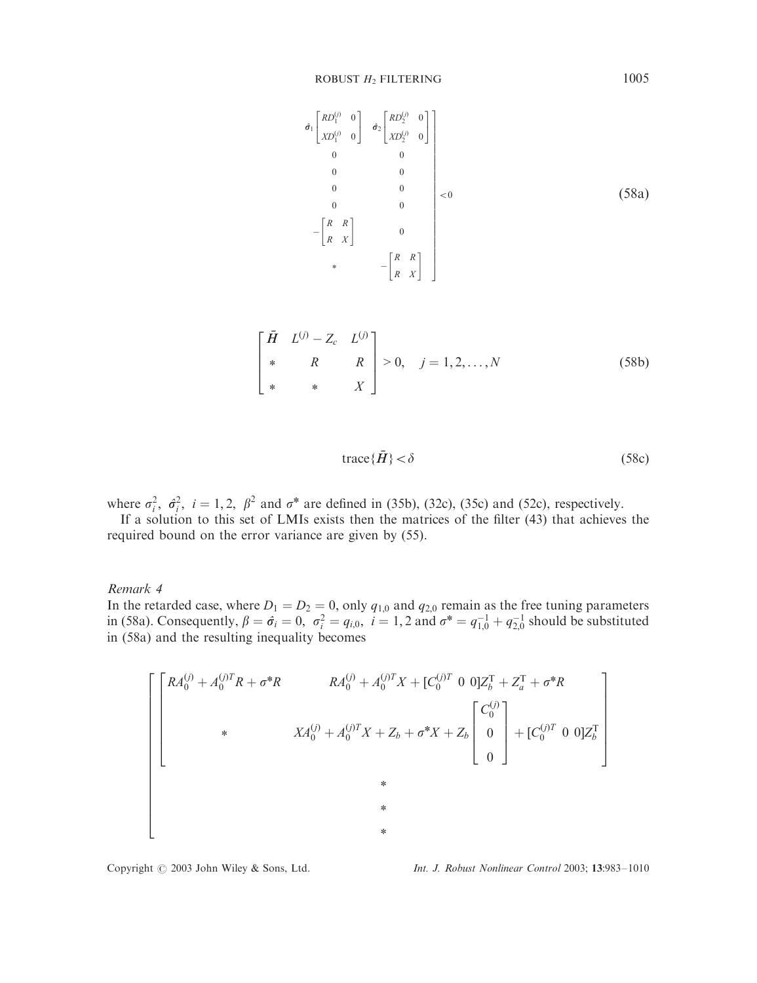$$
\hat{\sigma}_{1} \begin{bmatrix} RD_{1}^{(j)} & 0 \\ xo_{1}^{(j)} & 0 \end{bmatrix} \hat{\sigma}_{2} \begin{bmatrix} RD_{2}^{(j)} & 0 \\ xo_{2}^{(j)} & 0 \end{bmatrix}
$$
\n
$$
\begin{bmatrix} 0 & 0 & 0 \\ 0 & 0 & 0 \\ 0 & 0 & 0 \\ 0 & 0 & 0 \\ 0 & 0 & 0 \\ -\begin{bmatrix} R & R \\ R & X \end{bmatrix} & 0 \\ * & -\begin{bmatrix} R & R \\ R & X \end{bmatrix} & 0 \end{bmatrix} < 0
$$
\n
$$
(58a)
$$

$$
\begin{bmatrix} \bar{H} & L^{(j)} - Z_c & L^{(j)} \\ * & R & R \\ * & * & X \end{bmatrix} > 0, \quad j = 1, 2, ..., N
$$
 (58b)

$$
trace{\{\bar{H}\}} < \delta \tag{58c}
$$

where  $\sigma_i^2$ ,  $\hat{\sigma}_i^2$ ,  $i = 1, 2$ ,  $\beta^2$  and  $\sigma^*$  are defined in (35b), (32c), (35c) and (52c), respectively.

If a solution to this set of LMIs exists then the matrices of the filter (43) that achieves the required bound on the error variance are given by (55).

## Remark 4

In the retarded case, where  $D_1 = D_2 = 0$ , only  $q_{1,0}$  and  $q_{2,0}$  remain as the free tuning parameters in (58a). Consequently,  $\beta = \hat{\sigma}_i = 0$ ,  $\sigma_i^2 = q_{i,0}$ ,  $i = 1, 2$  and  $\sigma^* = q_{1,0}^{-1} + q_{2,0}^{-1}$  should be substituted in (58a) and the resulting inequality becomes

$$
A_0^{(j)} + A_0^{(j)T}R + \sigma^*R
$$
\n
$$
R A_0^{(j)} + A_0^{(j)T}X + [C_0^{(j)T} 0 0]Z_b^T + Z_a^T + \sigma^*R
$$
\n
$$
X A_0^{(j)} + A_0^{(j)T}X + Z_b + \sigma^*X + Z_b \begin{bmatrix} C_0^{(j)} \\ 0 \\ 0 \end{bmatrix} + [C_0^{(j)T} 0 0]Z_b^T
$$
\n
$$
*
$$
\n
$$
*
$$
\n
$$
*
$$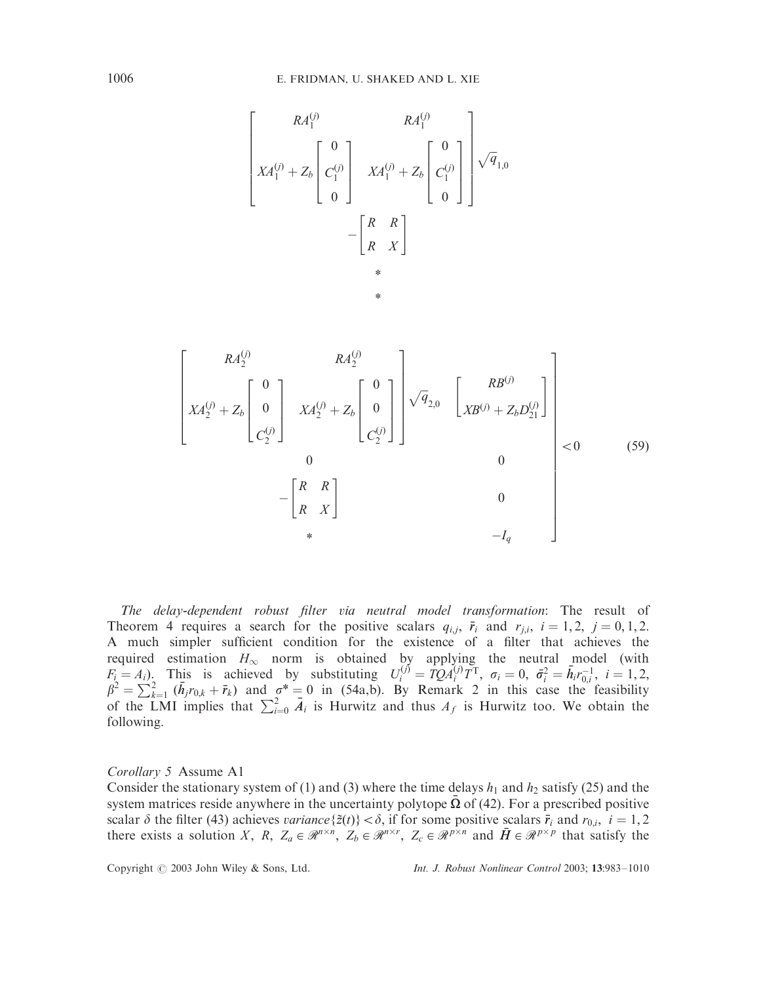$$
\begin{bmatrix}\nRA_1^{(j)} & RA_1^{(j)} \\
XA_1^{(j)} + Z_b\n\end{bmatrix}\n\begin{bmatrix}\n0 \\
C_1^{(j)} \\
0\n\end{bmatrix}\n\begin{bmatrix}\nXA_1^{(j)} + Z_b\n\end{bmatrix}\n\begin{bmatrix}\n0 \\
C_1^{(j)} \\
0\n\end{bmatrix}\n\begin{bmatrix}\n\sqrt{q}_{1,0} \\
\sqrt{q}_{1,0} \\
0\n\end{bmatrix}
$$
\n
$$
-\begin{bmatrix}\nR & R \\
R & X\n\end{bmatrix}
$$
\n\*

$$
\begin{bmatrix}\nR A_2^{(j)} & R A_2^{(j)} \\
X A_2^{(j)} + Z_b \begin{bmatrix} 0 \\ 0 \\ C_2^{(j)} \end{bmatrix} & X A_2^{(j)} + Z_b \begin{bmatrix} 0 \\ 0 \\ C_2^{(j)} \end{bmatrix}\n\end{bmatrix}\n\sqrt{q}_{2,0} \begin{bmatrix} R B^{(j)} \\
X B^{(j)} + Z_b D_{21}^{(j)} \end{bmatrix}\n\begin{bmatrix}\nR B^{(j)} \\
X B^{(j)} + Z_b D_{21}^{(j)}\n\end{bmatrix}\n\begin{bmatrix}\n\end{bmatrix}\n\begin{bmatrix}\n\end{bmatrix}\n\begin{bmatrix}\n\end{bmatrix}\n\begin{bmatrix}\n\end{bmatrix}\n\begin{bmatrix}\n\end{bmatrix}\n\begin{bmatrix}\n\end{bmatrix}\n\begin{bmatrix}\n\end{bmatrix}\n\begin{bmatrix}\n\end{bmatrix}\n\begin{bmatrix}\n\end{bmatrix}\n\begin{bmatrix}\n\end{bmatrix}\n\begin{bmatrix}\n\end{bmatrix}\n\begin{bmatrix}\n\end{bmatrix}\n\begin{bmatrix}\n\end{bmatrix}\n\begin{bmatrix}\n\end{bmatrix}\n\begin{bmatrix}\n\end{bmatrix}\n\begin{bmatrix}\n\end{bmatrix}\n\begin{bmatrix}\n\end{bmatrix}\n\begin{bmatrix}\n\end{bmatrix}\n\begin{bmatrix}\n\end{bmatrix}\n\begin{bmatrix}\n\end{bmatrix}\n\begin{bmatrix}\n\end{bmatrix}\n\begin{bmatrix}\n\end{bmatrix}\n\begin{bmatrix}\n\end{bmatrix}\n\begin{bmatrix}\n\end{bmatrix}\n\begin{bmatrix}\n\end{bmatrix}\n\begin{bmatrix}\n\end{bmatrix}\n\begin{bmatrix}\n\end{bmatrix}\n\begin{bmatrix}\n\end{bmatrix}\n\begin{bmatrix}\n\end{bmatrix}\n\begin{bmatrix}\n\end{bmatrix}\n\begin{bmatrix}\n\end{bmatrix}\n\begin{bmatrix}\n\end{bmatrix}\n\begin{bmatrix}\n\end{bmatrix}\n\begin{bmatrix}\n\end{bmatrix}\n\begin{bmatrix}\n\end{bmatrix}\n\begin{bmatrix}\n\end{bmatrix}\n\begin{bmatrix}\n\end{bmatrix}\n\begin{bmatrix}\n\end{bmatrix}\n\begin{bmatrix}\n\end{bmatrix}\n\begin{bmatrix}\n\end{bmatrix}\n\begin
$$

The delay-dependent robust filter via neutral model transformation: The result of Theorem 4 requires a search for the positive scalars  $q_{i,j}$ ,  $\bar{r}_i$  and  $r_{j,i}$ ,  $i = 1, 2$ ,  $j = 0, 1, 2$ . A much simpler sufficient condition for the existence of a filter that achieves the required estimation  $H_{\infty}$  norm is obtained by applying the neutral model (with  $F_i = A_i$ ). This is achieved by substituting  $U_i^{(j)} = TQ A_i^{(j)} T^T$ ,  $\sigma_i = 0$ ,  $\bar{\sigma}_i^2 = \bar{h}_i r_{0,i}^{-1}$ ,  $i = 1, 2, \beta^2 = \sum_{k=1}^2 (\bar{h}_j r_{0,k} + \bar{r}_k)$  and  $\sigma^* = 0$  in (54a,b). By Remark 2 in this case the feasibility of the LMI implies that  $\sum_{i=0}^{2} \bar{A}_i$  is Hurwitz and thus  $A_f$  is Hurwitz too. We obtain the following.

#### Corollary 5 Assume A1

Consider the stationary system of (1) and (3) where the time delays  $h_1$  and  $h_2$  satisfy (25) and the system matrices reside anywhere in the uncertainty polytope  $\overline{\Omega}$  of (42). For a prescribed positive scalar  $\delta$  the filter (43) achieves *variance*{ $\tilde{z}(t)$ } <  $\delta$ , if for some positive scalars  $\bar{r}_i$  and  $r_{0,i}$ ,  $i = 1, 2$ there exists a solution *X*, *R*,  $Z_a \in \mathcal{R}^{n \times n}$ ,  $Z_b \in \mathcal{R}^{n \times r}$ ,  $Z_c \in \mathcal{R}^{p \times n}$  and  $\overline{H} \in \mathcal{R}^{p \times p}$  that satisfy the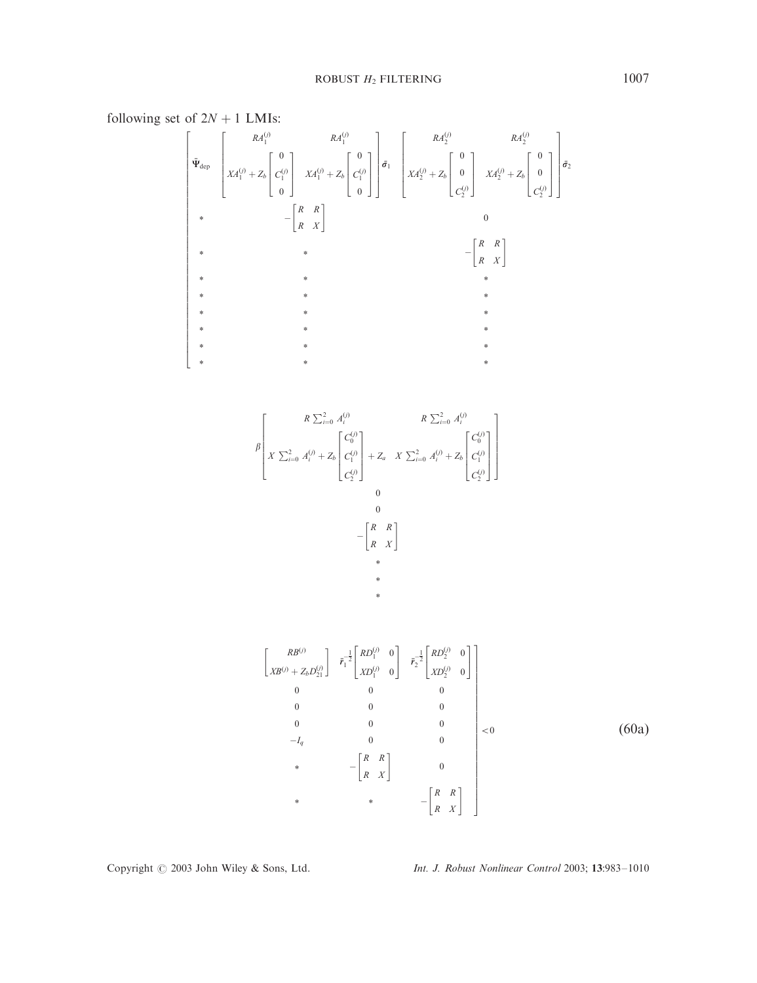following set of  $2N + 1$  LMIs:

$$
\begin{bmatrix}\nR A_1^{(j)} & R A_1^{(j)} & \\
\bar{\Psi}_{\text{dep}} & \begin{bmatrix} & & R A_1^{(j)} & \\
X A_1^{(j)} + Z_b & \begin{bmatrix} 0 \\ C_1^{(j)} \\ 0 \end{bmatrix} & X A_1^{(j)} + Z_b & \begin{bmatrix} 0 \\ C_1^{(j)} \\ 0 \end{bmatrix}\n\end{bmatrix} \vec{\sigma}_1\n\end{bmatrix}\n\begin{bmatrix}\nR A_2^{(j)} & R A_2^{(j)} & \\
X A_2^{(j)} + Z_b & \begin{bmatrix} 0 \\ 0 \\ C_2^{(j)} \end{bmatrix} & \\
\ast & -\begin{bmatrix} R & R \\ R & X \end{bmatrix} & \\
\ast & \ast & \\
\ast & \ast & \\
\ast & \ast & \\
\ast & \ast & \\
\ast & \ast & \\
\ast & \ast & \\
\ast & \ast & \\
\ast & \ast & \\
\ast & \ast & \\
\ast & \ast & \\
\ast & \ast & \\
\ast & \ast & \\
\ast & \ast & \\
\ast & \ast & \\
\ast & \ast & \\
\ast & \ast & \\
\ast & \ast & \\
\ast & \ast & \\
\ast & \ast & \\
\ast & \ast & \\
\ast & \ast & \\
\ast & \ast & \\
\ast & \ast & \\
\ast & \ast & \\
\ast & \ast & \\
\ast & \ast & \\
\ast & \ast & \\
\ast & \ast & \\
\ast & \ast & \\
\ast & \ast & \\
\ast & \ast & \\
\ast & \ast & \\
\ast & \ast & \\
\ast & \ast & \\
\ast & \ast & \\
\ast & \ast & \\
\ast & \ast & \\
\ast & \ast & \\
\ast & \ast & \\
\ast & \ast & \\
\ast & \ast & \\
\ast & \ast & \\
\ast & \ast & \\
\ast & \ast & \\
\
$$

$$
\beta \left[ \begin{array}{ccc} & R \sum_{i=0}^{2} A_{i}^{(j)} & R \sum_{i=0}^{2} A_{i}^{(j)} \\ X \sum_{i=0}^{2} A_{i}^{(j)} + Z_{b} \begin{bmatrix} C_{0}^{(j)} \\ C_{1}^{(j)} \\ C_{2}^{(j)} \end{bmatrix} + Z_{a} & X \sum_{i=0}^{2} A_{i}^{(j)} + Z_{b} \begin{bmatrix} C_{0}^{(j)} \\ C_{1}^{(j)} \\ C_{2}^{(j)} \end{bmatrix} \right] \\ - \begin{bmatrix} R & R \\ R & X \end{bmatrix} + \\ * \\ * \\ * \\ * \end{array}
$$

$$
\begin{bmatrix}\nRB^{(j)} \\
XB^{(j)} + Z_b D_{21}^{(j)}\n\end{bmatrix}\n\begin{bmatrix}\n\bar{r}_1^{-\frac{1}{2}}\begin{bmatrix}\nRD_1^{(j)} & 0 \\
XD_1^{(j)} & 0\n\end{bmatrix} & \bar{r}_2^{-\frac{1}{2}}\begin{bmatrix}\nRD_2^{(j)} & 0 \\
XD_2^{(j)} & 0\n\end{bmatrix} \\
0 & 0 & 0 \\
0 & 0 & 0 \\
0 & 0 & 0 \\
-I_q & 0 & 0 \\
-I_q & 0 & 0 \\
* & -\begin{bmatrix}\nR & R \\
R & X\n\end{bmatrix} & 0 \\
* & -\begin{bmatrix}\nR & R \\
R & X\n\end{bmatrix} & -\begin{bmatrix}\nR & R \\
R & X\n\end{bmatrix}\n\end{bmatrix}
$$
\n(60a)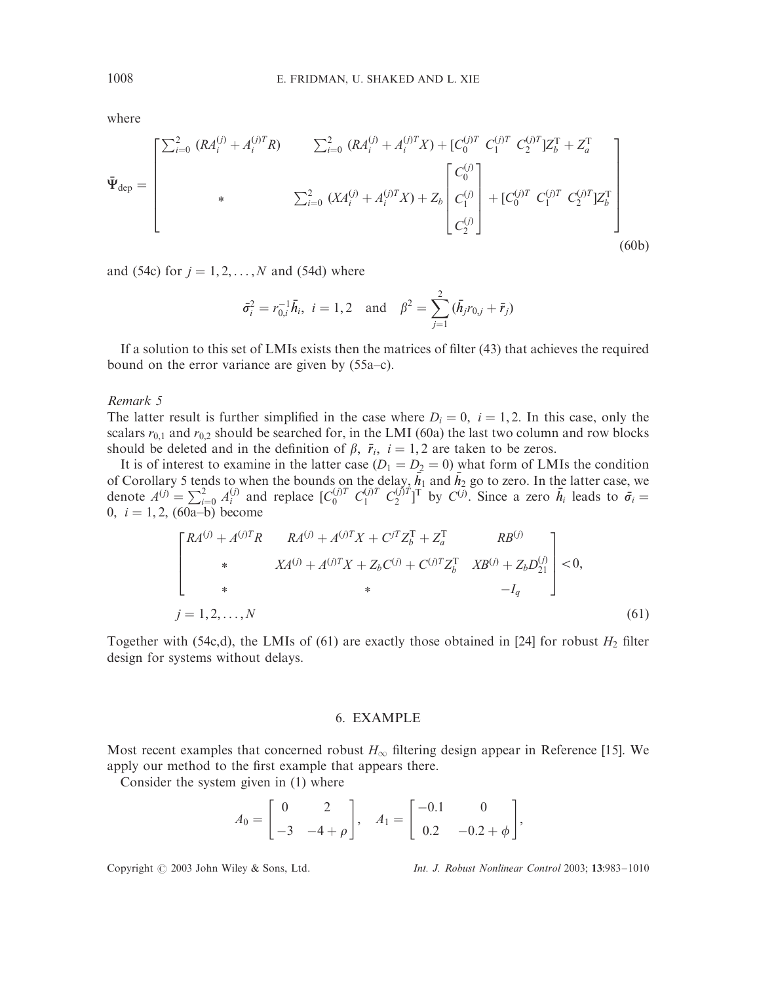$$
\bar{\Psi}_{\text{dep}} = \begin{bmatrix} \sum_{i=0}^{2} (RA_{i}^{(j)} + A_{i}^{(j)T}R) & \sum_{i=0}^{2} (RA_{i}^{(j)} + A_{i}^{(j)T}X) + [C_{0}^{(j)T} C_{1}^{(j)T} C_{2}^{(j)T}]Z_{b}^{T} + Z_{a}^{T} \\ * & \sum_{i=0}^{2} (XA_{i}^{(j)} + A_{i}^{(j)T}X) + Z_{b} \begin{bmatrix} C_{0}^{(j)} \\ C_{1}^{(j)} \\ C_{2}^{(j)} \end{bmatrix} + [C_{0}^{(j)T} C_{1}^{(j)T} C_{2}^{(j)T}]Z_{b}^{T} \\ \qquad (60b)
$$

and (54c) for  $j = 1, 2, ..., N$  and (54d) where

$$
\bar{\sigma}_i^2 = r_{0,i}^{-1} \bar{h}_i
$$
,  $i = 1, 2$  and  $\beta^2 = \sum_{j=1}^2 (\bar{h}_j r_{0,j} + \bar{r}_j)$ 

If a solution to this set of LMIs exists then the matrices of filter (43) that achieves the required bound on the error variance are given by (55a–c).

## Remark 5

The latter result is further simplified in the case where  $D_i = 0$ ,  $i = 1, 2$ . In this case, only the scalars  $r_{0,1}$  and  $r_{0,2}$  should be searched for, in the LMI (60a) the last two column and row blocks should be deleted and in the definition of  $\beta$ ,  $\bar{r}_i$ ,  $i = 1, 2$  are taken to be zeros.

It is of interest to examine in the latter case  $(D_1 = D_2 = 0)$  what form of LMIs the condition of Corollary 5 tends to when the bounds on the delay,  $\bar{h}_1$  and  $\bar{h}_2$  go to zero. In the latter case, we denote  $A^{(j)} = \sum_{i=0}^{2} A_i^{(j)}$  and replace  $[C_0^{(j)T} C_1^{(j)T} C_2^{(j)T}]$  by  $C^{(j)}$ . Since a zero  $\bar{h}_i$  le 0,  $i = 1, 2, (60a-b)$  become

$$
\begin{bmatrix} RA^{(j)} + A^{(j)T}R & RA^{(j)} + A^{(j)T}X + C^{jT}Z_{b}^{T} + Z_{a}^{T} & RB^{(j)} \\ * & XA^{(j)} + A^{(j)T}X + Z_{b}C^{(j)} + C^{(j)T}Z_{b}^{T} & XB^{(j)} + Z_{b}D_{21}^{(j)} \\ * & * & -I_{q} \end{bmatrix} < 0,
$$
  
\n
$$
j = 1, 2, ..., N
$$
\n(61)

Together with (54c,d), the LMIs of (61) are exactly those obtained in [24] for robust *H*<sup>2</sup> filter design for systems without delays.

## 6. EXAMPLE

Most recent examples that concerned robust  $H_{\infty}$  filtering design appear in Reference [15]. We apply our method to the first example that appears there.

Consider the system given in (1) where

$$
A_0 = \begin{bmatrix} 0 & 2 \\ -3 & -4 + \rho \end{bmatrix}, \quad A_1 = \begin{bmatrix} -0.1 & 0 \\ 0.2 & -0.2 + \phi \end{bmatrix},
$$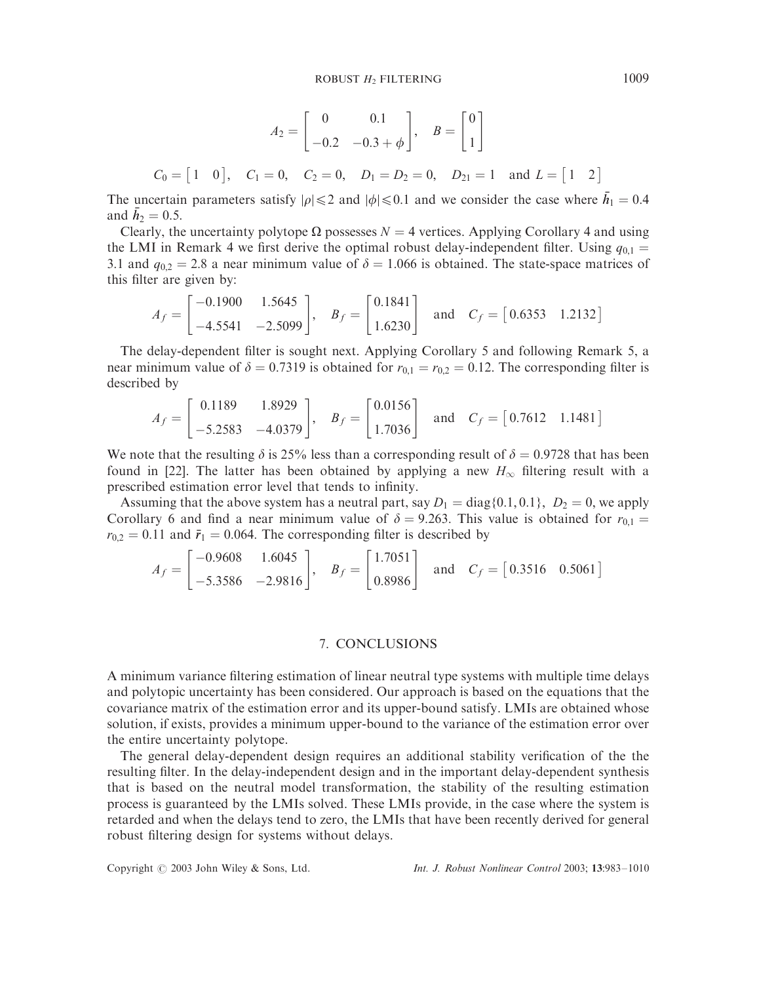$$
A_2 = \begin{bmatrix} 0 & 0.1 \\ -0.2 & -0.3 + \phi \end{bmatrix}, \quad B = \begin{bmatrix} 0 \\ 1 \end{bmatrix}
$$
  

$$
C_0 = \begin{bmatrix} 1 & 0 \end{bmatrix}, \quad C_1 = 0, \quad C_2 = 0, \quad D_1 = D_2 = 0, \quad D_{21} = 1 \quad \text{and } L = \begin{bmatrix} 1 & 2 \end{bmatrix}
$$

The uncertain parameters satisfy  $|\rho| \le 2$  and  $|\phi| \le 0.1$  and we consider the case where  $h_1 = 0.4$ and  $\bar{h}_2 = 0.5$ .

Clearly, the uncertainty polytope  $\Omega$  possesses  $N = 4$  vertices. Applying Corollary 4 and using the LMI in Remark 4 we first derive the optimal robust delay-independent filter. Using  $q_{0,1} =$ 3.1 and  $q_{0,2} = 2.8$  a near minimum value of  $\delta = 1.066$  is obtained. The state-space matrices of this filter are given by:

$$
A_f = \begin{bmatrix} -0.1900 & 1.5645 \\ -4.5541 & -2.5099 \end{bmatrix}, \quad B_f = \begin{bmatrix} 0.1841 \\ 1.6230 \end{bmatrix} \quad \text{and} \quad C_f = \begin{bmatrix} 0.6353 & 1.2132 \end{bmatrix}
$$

The delay-dependent filter is sought next. Applying Corollary 5 and following Remark 5, a near minimum value of  $\delta = 0.7319$  is obtained for  $r_{0,1} = r_{0,2} = 0.12$ . The corresponding filter is described by

$$
A_f = \begin{bmatrix} 0.1189 & 1.8929 \\ -5.2583 & -4.0379 \end{bmatrix}, \quad B_f = \begin{bmatrix} 0.0156 \\ 1.7036 \end{bmatrix} \quad \text{and} \quad C_f = \begin{bmatrix} 0.7612 & 1.1481 \end{bmatrix}
$$

We note that the resulting  $\delta$  is 25% less than a corresponding result of  $\delta = 0.9728$  that has been found in [22]. The latter has been obtained by applying a new  $H_{\infty}$  filtering result with a prescribed estimation error level that tends to infinity.

Assuming that the above system has a neutral part, say  $D_1 = \text{diag}{0.1, 0.1}$ ,  $D_2 = 0$ , we apply Corollary 6 and find a near minimum value of  $\delta = 9.263$ . This value is obtained for  $r_{0,1} =$  $r_{0,2} = 0.11$  and  $\bar{r}_1 = 0.064$ . The corresponding filter is described by

$$
A_f = \begin{bmatrix} -0.9608 & 1.6045 \\ -5.3586 & -2.9816 \end{bmatrix}, \quad B_f = \begin{bmatrix} 1.7051 \\ 0.8986 \end{bmatrix} \quad \text{and} \quad C_f = \begin{bmatrix} 0.3516 & 0.5061 \end{bmatrix}
$$

## 7. CONCLUSIONS

A minimum variance filtering estimation of linear neutral type systems with multiple time delays and polytopic uncertainty has been considered. Our approach is based on the equations that the covariance matrix of the estimation error and its upper-bound satisfy. LMIs are obtained whose solution, if exists, provides a minimum upper-bound to the variance of the estimation error over the entire uncertainty polytope.

The general delay-dependent design requires an additional stability verification of the the resulting filter. In the delay-independent design and in the important delay-dependent synthesis that is based on the neutral model transformation, the stability of the resulting estimation process is guaranteed by the LMIs solved. These LMIs provide, in the case where the system is retarded and when the delays tend to zero, the LMIs that have been recently derived for general robust filtering design for systems without delays.